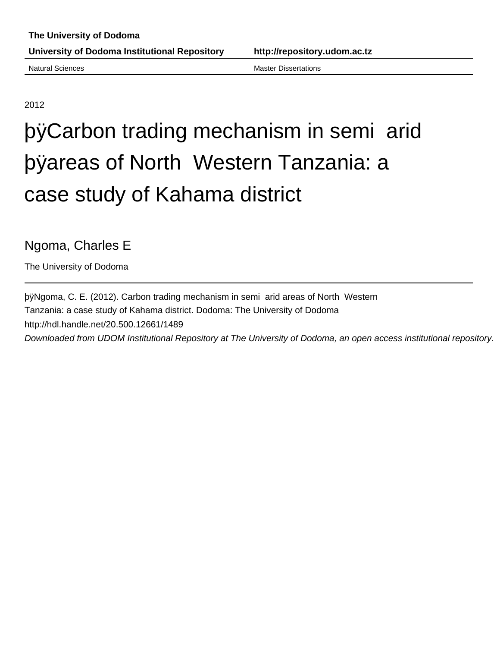Natural Sciences **Master Dissertations** Master Dissertations

2012

# þÿCarbon trading mechanism in þÿareas of North Western Tanza case study of Kahama district

Ngoma, Charles E

The University of Dodoma

by Ngoma, C. E. (2012). Carbon trading mechanism in semi arid areas of N Tanzania: a case study of Kahama district. Dodoma: The University of Dodoma http://hdl.handle.net/20.500.12661/1489

Downloaded from UDOM Institutional Repository at The University of Dodoma, an open access institutional repository.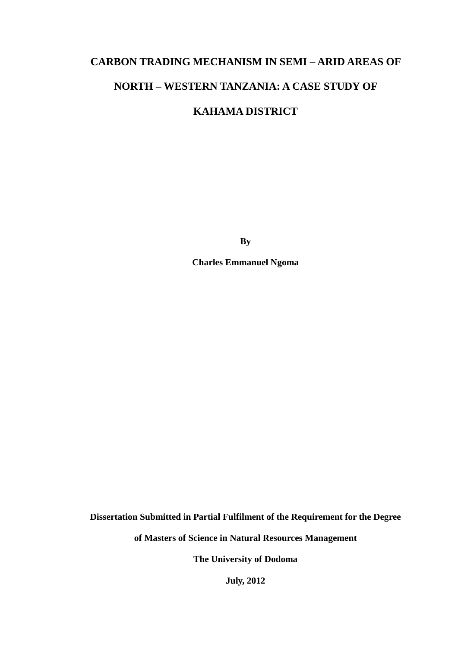# **CARBON TRADING MECHANISM IN SEMI – ARID AREAS OF NORTH – WESTERN TANZANIA: A CASE STUDY OF KAHAMA DISTRICT**

**By**

**Charles Emmanuel Ngoma**

**Dissertation Submitted in Partial Fulfilment of the Requirement for the Degree** 

**of Masters of Science in Natural Resources Management**

**The University of Dodoma**

**July, 2012**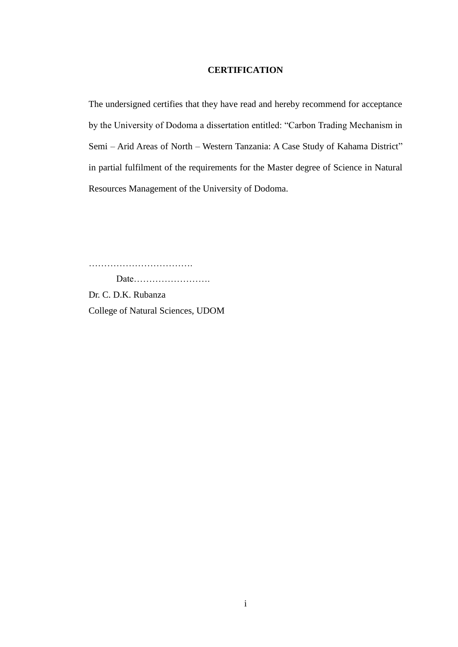#### **CERTIFICATION**

<span id="page-2-0"></span>The undersigned certifies that they have read and hereby recommend for acceptance by the University of Dodoma a dissertation entitled: "Carbon Trading Mechanism in Semi – Arid Areas of North – Western Tanzania: A Case Study of Kahama District" in partial fulfilment of the requirements for the Master degree of Science in Natural Resources Management of the University of Dodoma.

…………………………….

Date…………………….

Dr. C. D.K. Rubanza College of Natural Sciences, UDOM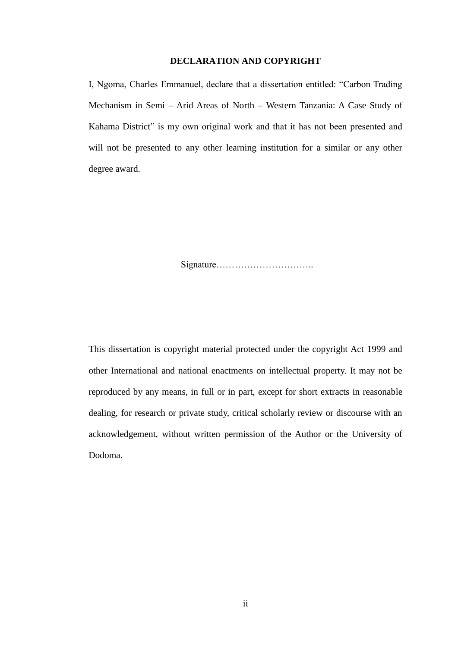#### **DECLARATION AND COPYRIGHT**

<span id="page-3-0"></span>I, Ngoma, Charles Emmanuel, declare that a dissertation entitled: "Carbon Trading Mechanism in Semi – Arid Areas of North – Western Tanzania: A Case Study of Kahama District" is my own original work and that it has not been presented and will not be presented to any other learning institution for a similar or any other degree award.

Signature…………………………..

<span id="page-3-1"></span>This dissertation is copyright material protected under the copyright Act 1999 and other International and national enactments on intellectual property. It may not be reproduced by any means, in full or in part, except for short extracts in reasonable dealing, for research or private study, critical scholarly review or discourse with an acknowledgement, without written permission of the Author or the University of Dodoma.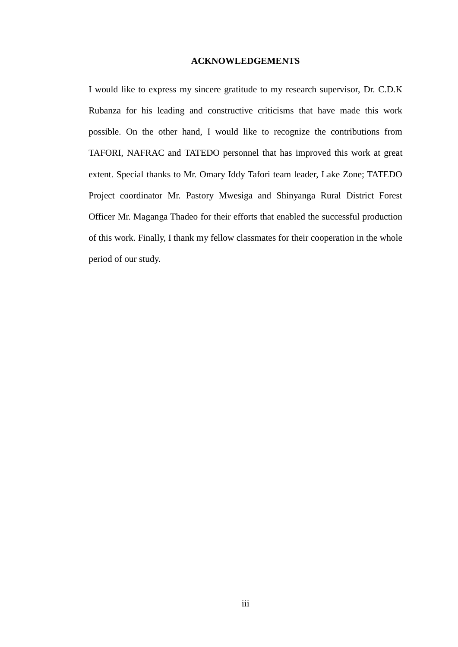#### **ACKNOWLEDGEMENTS**

I would like to express my sincere gratitude to my research supervisor, Dr. C.D.K Rubanza for his leading and constructive criticisms that have made this work possible. On the other hand, I would like to recognize the contributions from TAFORI, NAFRAC and TATEDO personnel that has improved this work at great extent. Special thanks to Mr. Omary Iddy Tafori team leader, Lake Zone; TATEDO Project coordinator Mr. Pastory Mwesiga and Shinyanga Rural District Forest Officer Mr. Maganga Thadeo for their efforts that enabled the successful production of this work. Finally, I thank my fellow classmates for their cooperation in the whole period of our study.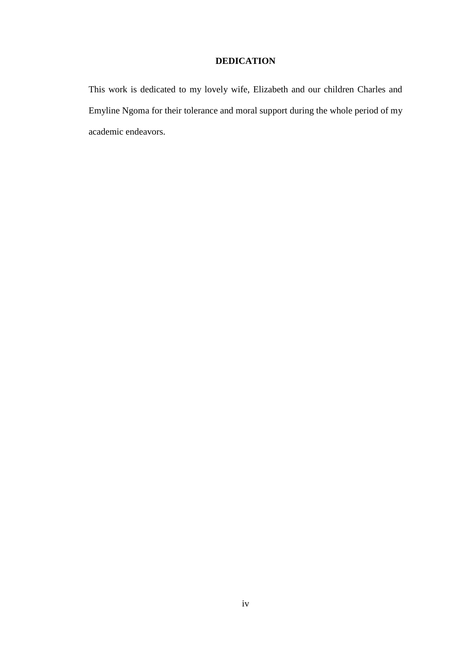# **DEDICATION**

<span id="page-5-1"></span><span id="page-5-0"></span>This work is dedicated to my lovely wife, Elizabeth and our children Charles and Emyline Ngoma for their tolerance and moral support during the whole period of my academic endeavors.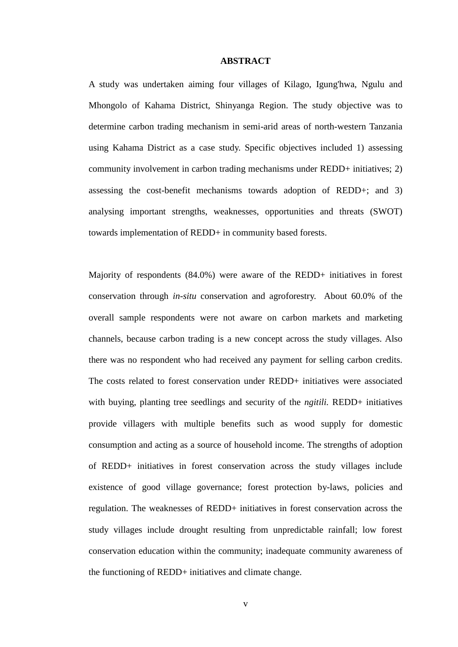#### **ABSTRACT**

A study was undertaken aiming four villages of Kilago, Igung'hwa, Ngulu and Mhongolo of Kahama District, Shinyanga Region. The study objective was to determine carbon trading mechanism in semi-arid areas of north-western Tanzania using Kahama District as a case study. Specific objectives included 1) assessing community involvement in carbon trading mechanisms under REDD+ initiatives; 2) assessing the cost-benefit mechanisms towards adoption of REDD+; and 3) analysing important strengths, weaknesses, opportunities and threats (SWOT) towards implementation of REDD+ in community based forests.

Majority of respondents (84.0%) were aware of the REDD+ initiatives in forest conservation through *in-situ* conservation and agroforestry. About 60.0% of the overall sample respondents were not aware on carbon markets and marketing channels, because carbon trading is a new concept across the study villages. Also there was no respondent who had received any payment for selling carbon credits. The costs related to forest conservation under REDD+ initiatives were associated with buying, planting tree seedlings and security of the *ngitili*. REDD+ initiatives provide villagers with multiple benefits such as wood supply for domestic consumption and acting as a source of household income. The strengths of adoption of REDD+ initiatives in forest conservation across the study villages include existence of good village governance; forest protection by-laws, policies and regulation. The weaknesses of REDD+ initiatives in forest conservation across the study villages include drought resulting from unpredictable rainfall; low forest conservation education within the community; inadequate community awareness of the functioning of REDD+ initiatives and climate change.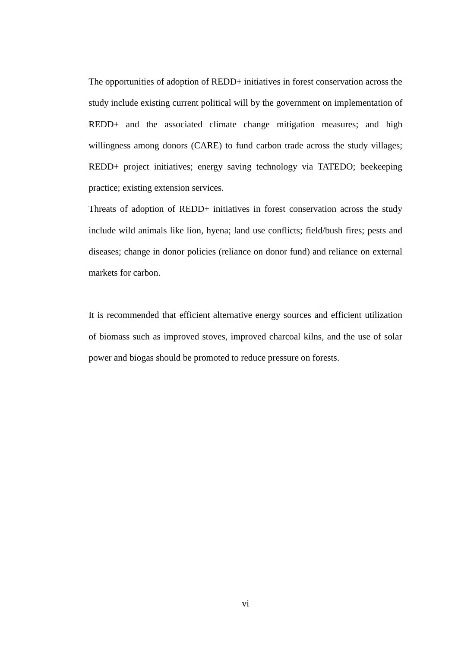The opportunities of adoption of REDD+ initiatives in forest conservation across the study include existing current political will by the government on implementation of REDD+ and the associated climate change mitigation measures; and high willingness among donors (CARE) to fund carbon trade across the study villages; REDD+ project initiatives; energy saving technology via TATEDO; beekeeping practice; existing extension services.

Threats of adoption of REDD+ initiatives in forest conservation across the study include wild animals like lion, hyena; land use conflicts; field/bush fires; pests and diseases; change in donor policies (reliance on donor fund) and reliance on external markets for carbon.

It is recommended that efficient alternative energy sources and efficient utilization of biomass such as improved stoves, improved charcoal kilns, and the use of solar power and biogas should be promoted to reduce pressure on forests.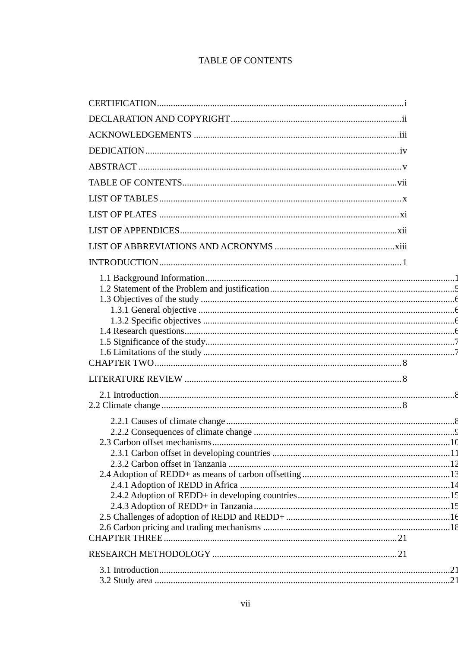# TABLE OF CONTENTS

<span id="page-8-0"></span>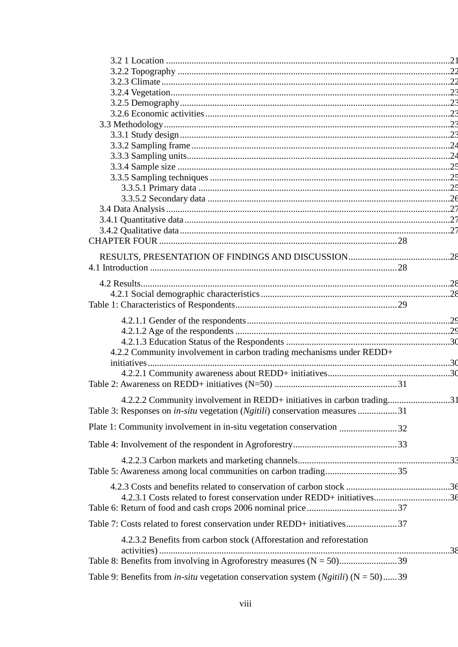| 4.2.2 Community involvement in carbon trading mechanisms under REDD+                                   |    |
|--------------------------------------------------------------------------------------------------------|----|
|                                                                                                        |    |
|                                                                                                        |    |
|                                                                                                        |    |
|                                                                                                        |    |
| 4.2.2.2 Community involvement in REDD+ initiatives in carbon trading31                                 |    |
| Table 3: Responses on <i>in-situ</i> vegetation ( <i>Ngitili</i> ) conservation measures 31            |    |
|                                                                                                        |    |
|                                                                                                        |    |
|                                                                                                        |    |
|                                                                                                        |    |
|                                                                                                        |    |
|                                                                                                        |    |
| 4.2.3.1 Costs related to forest conservation under REDD+ initiatives30                                 |    |
|                                                                                                        |    |
|                                                                                                        |    |
| Table 7: Costs related to forest conservation under REDD+ initiatives37                                |    |
| 4.2.3.2 Benefits from carbon stock (Afforestation and reforestation                                    |    |
|                                                                                                        | 38 |
|                                                                                                        |    |
|                                                                                                        |    |
| Table 9: Benefits from <i>in-situ</i> vegetation conservation system ( <i>Ngitili</i> ) ( $N = 50$ )39 |    |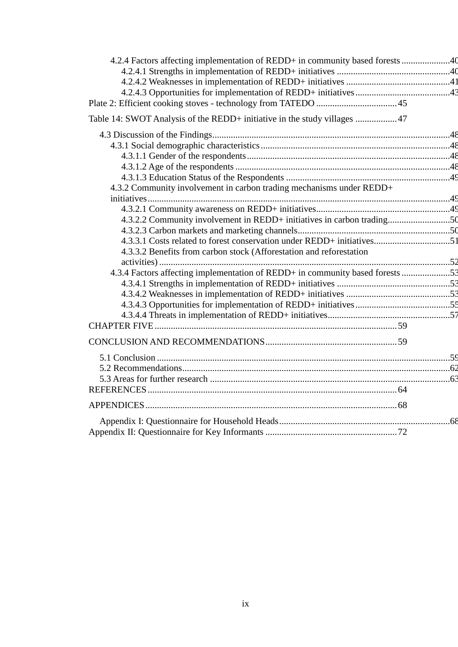| 4.2.4 Factors affecting implementation of REDD+ in community based forests 40 |  |
|-------------------------------------------------------------------------------|--|
|                                                                               |  |
|                                                                               |  |
|                                                                               |  |
|                                                                               |  |
| Table 14: SWOT Analysis of the REDD+ initiative in the study villages  47     |  |
|                                                                               |  |
|                                                                               |  |
|                                                                               |  |
|                                                                               |  |
|                                                                               |  |
|                                                                               |  |
| 4.3.2 Community involvement in carbon trading mechanisms under REDD+          |  |
|                                                                               |  |
|                                                                               |  |
| 4.3.2.2 Community involvement in REDD+ initiatives in carbon trading50        |  |
|                                                                               |  |
| 4.3.3.1 Costs related to forest conservation under REDD+ initiatives51        |  |
| 4.3.3.2 Benefits from carbon stock (Afforestation and reforestation           |  |
|                                                                               |  |
| 4.3.4 Factors affecting implementation of REDD+ in community based forests 53 |  |
|                                                                               |  |
|                                                                               |  |
|                                                                               |  |
|                                                                               |  |
|                                                                               |  |
|                                                                               |  |
|                                                                               |  |
|                                                                               |  |
|                                                                               |  |
|                                                                               |  |
|                                                                               |  |
|                                                                               |  |
|                                                                               |  |
|                                                                               |  |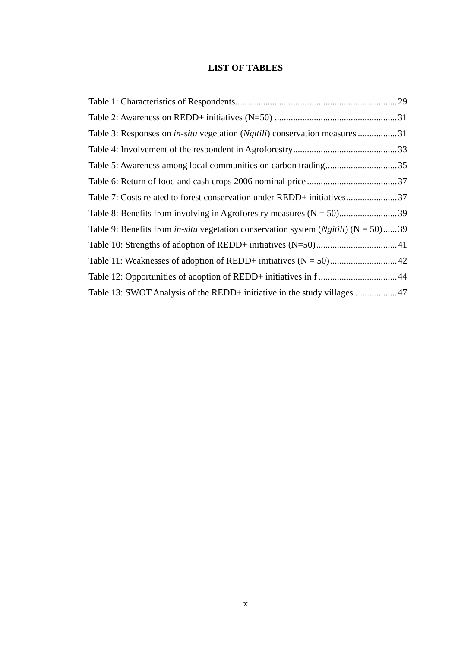# **LIST OF TABLES**

<span id="page-11-0"></span>

| Table 3: Responses on <i>in-situ</i> vegetation ( <i>Ngitili</i> ) conservation measures 31            |  |
|--------------------------------------------------------------------------------------------------------|--|
|                                                                                                        |  |
|                                                                                                        |  |
|                                                                                                        |  |
| Table 7: Costs related to forest conservation under REDD+ initiatives37                                |  |
|                                                                                                        |  |
| Table 9: Benefits from <i>in-situ</i> vegetation conservation system ( <i>Ngitili</i> ) ( $N = 50$ )39 |  |
|                                                                                                        |  |
|                                                                                                        |  |
|                                                                                                        |  |
| Table 13: SWOT Analysis of the REDD+ initiative in the study villages 47                               |  |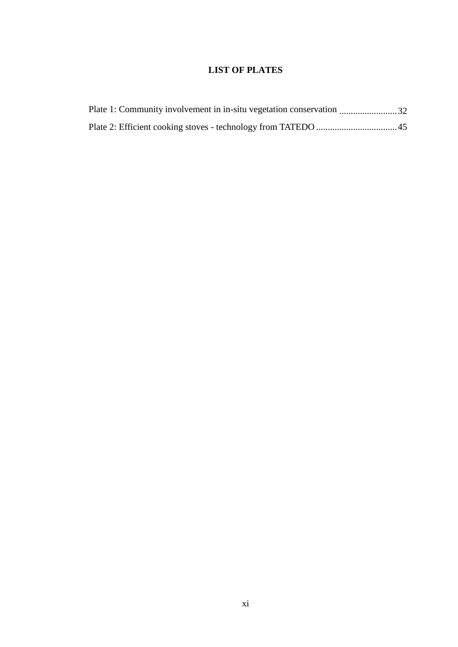# **LIST OF PLATES**

<span id="page-12-0"></span>

|  |  |  | Plate 1: Community involvement in in-situ vegetation conservation 32 |
|--|--|--|----------------------------------------------------------------------|
|  |  |  |                                                                      |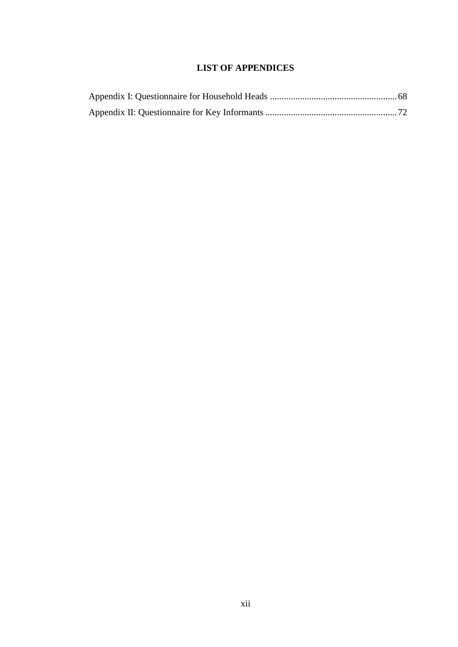# **LIST OF APPENDICES**

<span id="page-13-0"></span>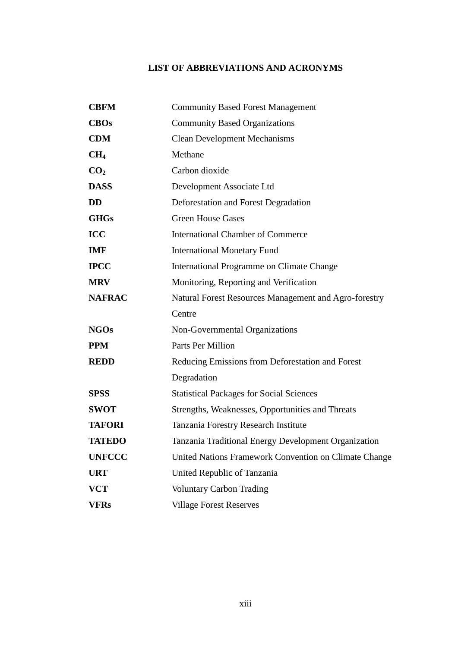# **LIST OF ABBREVIATIONS AND ACRONYMS**

<span id="page-14-0"></span>

| <b>CBFM</b>     | <b>Community Based Forest Management</b>              |  |  |
|-----------------|-------------------------------------------------------|--|--|
| <b>CBOs</b>     | <b>Community Based Organizations</b>                  |  |  |
| <b>CDM</b>      | <b>Clean Development Mechanisms</b>                   |  |  |
| CH <sub>4</sub> | Methane                                               |  |  |
| CO <sub>2</sub> | Carbon dioxide                                        |  |  |
| <b>DASS</b>     | Development Associate Ltd                             |  |  |
| <b>DD</b>       | Deforestation and Forest Degradation                  |  |  |
| <b>GHGs</b>     | <b>Green House Gases</b>                              |  |  |
| <b>ICC</b>      | <b>International Chamber of Commerce</b>              |  |  |
| <b>IMF</b>      | <b>International Monetary Fund</b>                    |  |  |
| <b>IPCC</b>     | International Programme on Climate Change             |  |  |
| <b>MRV</b>      | Monitoring, Reporting and Verification                |  |  |
| <b>NAFRAC</b>   | Natural Forest Resources Management and Agro-forestry |  |  |
|                 | Centre                                                |  |  |
| <b>NGOs</b>     | Non-Governmental Organizations                        |  |  |
| <b>PPM</b>      | Parts Per Million                                     |  |  |
| <b>REDD</b>     | Reducing Emissions from Deforestation and Forest      |  |  |
|                 | Degradation                                           |  |  |
| <b>SPSS</b>     | <b>Statistical Packages for Social Sciences</b>       |  |  |
| <b>SWOT</b>     | Strengths, Weaknesses, Opportunities and Threats      |  |  |
| <b>TAFORI</b>   | Tanzania Forestry Research Institute                  |  |  |
| <b>TATEDO</b>   | Tanzania Traditional Energy Development Organization  |  |  |
| <b>UNFCCC</b>   | United Nations Framework Convention on Climate Change |  |  |
| <b>URT</b>      | United Republic of Tanzania                           |  |  |
| <b>VCT</b>      | <b>Voluntary Carbon Trading</b>                       |  |  |
| <b>VFRs</b>     | <b>Village Forest Reserves</b>                        |  |  |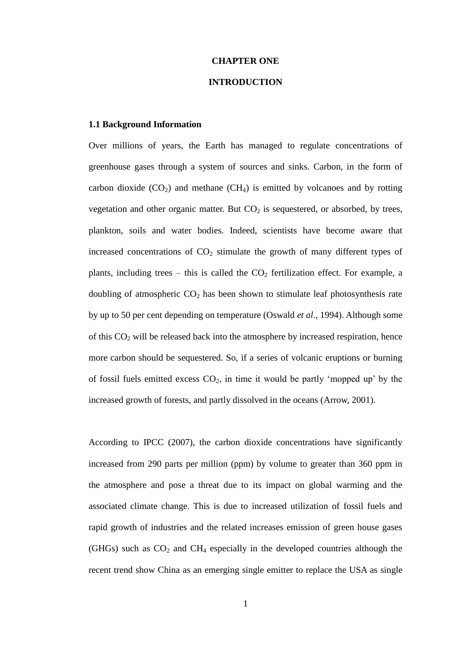#### **CHAPTER ONE**

#### **INTRODUCTION**

#### <span id="page-15-1"></span><span id="page-15-0"></span>**1.1 Background Information**

Over millions of years, the Earth has managed to regulate concentrations of greenhouse gases through a system of sources and sinks. Carbon, in the form of carbon dioxide  $(CO_2)$  and methane  $(CH_4)$  is emitted by volcanoes and by rotting vegetation and other organic matter. But  $CO<sub>2</sub>$  is sequestered, or absorbed, by trees, plankton, soils and water bodies. Indeed, scientists have become aware that increased concentrations of  $CO<sub>2</sub>$  stimulate the growth of many different types of plants, including trees – this is called the  $CO<sub>2</sub>$  fertilization effect. For example, a doubling of atmospheric  $CO<sub>2</sub>$  has been shown to stimulate leaf photosynthesis rate by up to 50 per cent depending on temperature (Oswald *et al*., 1994). Although some of this  $CO<sub>2</sub>$  will be released back into the atmosphere by increased respiration, hence more carbon should be sequestered. So, if a series of volcanic eruptions or burning of fossil fuels emitted excess  $CO<sub>2</sub>$ , in time it would be partly 'mopped up' by the increased growth of forests, and partly dissolved in the oceans (Arrow, 2001).

According to IPCC (2007), the carbon dioxide concentrations have significantly increased from 290 parts per million (ppm) by volume to greater than 360 ppm in the atmosphere and pose a threat due to its impact on global warming and the associated climate change. This is due to increased utilization of fossil fuels and rapid growth of industries and the related increases emission of green house gases (GHGs) such as  $CO<sub>2</sub>$  and CH<sub>4</sub> especially in the developed countries although the recent trend show China as an emerging single emitter to replace the USA as single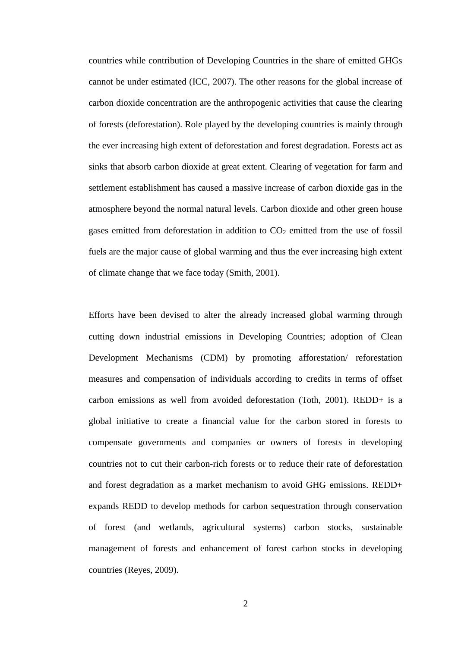countries while contribution of Developing Countries in the share of emitted GHGs cannot be under estimated (ICC, 2007). The other reasons for the global increase of carbon dioxide concentration are the anthropogenic activities that cause the clearing of forests (deforestation). Role played by the developing countries is mainly through the ever increasing high extent of deforestation and forest degradation. Forests act as sinks that absorb carbon dioxide at great extent. Clearing of vegetation for farm and settlement establishment has caused a massive increase of carbon dioxide gas in the atmosphere beyond the normal natural levels. Carbon dioxide and other green house gases emitted from deforestation in addition to  $CO<sub>2</sub>$  emitted from the use of fossil fuels are the major cause of global warming and thus the ever increasing high extent of climate change that we face today (Smith, 2001).

Efforts have been devised to alter the already increased global warming through cutting down industrial emissions in Developing Countries; adoption of Clean Development Mechanisms (CDM) by promoting afforestation/ reforestation measures and compensation of individuals according to credits in terms of offset carbon emissions as well from avoided deforestation (Toth, 2001). REDD+ is a global initiative to create a financial value for the carbon stored in forests to compensate governments and companies or owners of forests in developing countries not to cut their carbon-rich forests or to reduce their rate of deforestation and forest degradation as a market mechanism to avoid GHG emissions. REDD+ expands REDD to develop methods for carbon sequestration through conservation of forest (and wetlands, agricultural systems) carbon stocks, sustainable management of forests and enhancement of forest carbon stocks in developing countries (Reyes, 2009).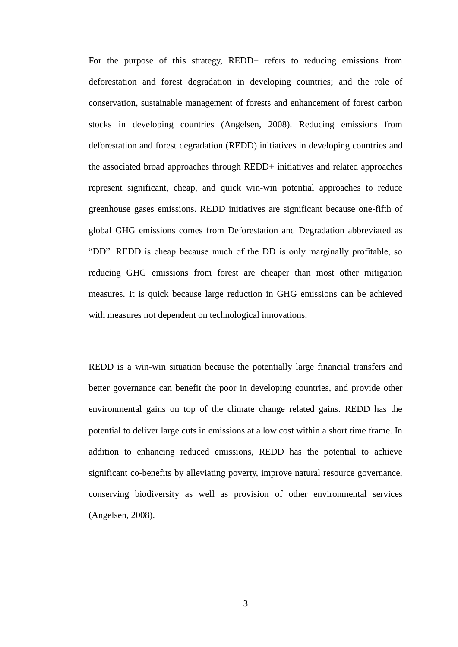For the purpose of this strategy, REDD+ refers to reducing emissions from deforestation and forest degradation in developing countries; and the role of conservation, sustainable management of forests and enhancement of forest carbon stocks in developing countries (Angelsen, 2008). Reducing emissions from deforestation and forest degradation (REDD) initiatives in developing countries and the associated broad approaches through REDD+ initiatives and related approaches represent significant, cheap, and quick win-win potential approaches to reduce greenhouse gases emissions. REDD initiatives are significant because one-fifth of global GHG emissions comes from Deforestation and Degradation abbreviated as "DD". REDD is cheap because much of the DD is only marginally profitable, so reducing GHG emissions from forest are cheaper than most other mitigation measures. It is quick because large reduction in GHG emissions can be achieved with measures not dependent on technological innovations.

REDD is a win-win situation because the potentially large financial transfers and better governance can benefit the poor in developing countries, and provide other environmental gains on top of the climate change related gains. REDD has the potential to deliver large cuts in emissions at a low cost within a short time frame. In addition to enhancing reduced emissions, REDD has the potential to achieve significant co-benefits by alleviating poverty, improve natural resource governance, conserving biodiversity as well as provision of other environmental services (Angelsen, 2008).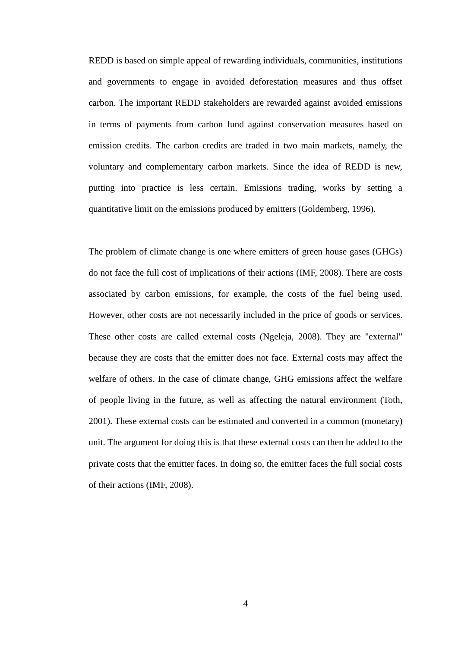REDD is based on simple appeal of rewarding individuals, communities, institutions and governments to engage in avoided deforestation measures and thus offset carbon. The important REDD stakeholders are rewarded against avoided emissions in terms of payments from carbon fund against conservation measures based on emission credits. The carbon credits are traded in two main markets, namely, the voluntary and complementary carbon markets. Since the idea of REDD is new, putting into practice is less certain. Emissions trading, works by setting a quantitative limit on the emissions produced by emitters (Goldemberg, 1996).

The problem of climate change is one where emitters of green house gases (GHGs) do not face the full cost of implications of their actions (IMF, 2008). There are costs associated by carbon emissions, for example, the costs of the fuel being used. However, other costs are not necessarily included in the price of goods or services. These other costs are called external costs (Ngeleja, 2008). They are "external" because they are costs that the emitter does not face. External costs may affect the welfare of others. In the case of climate change, GHG emissions affect the welfare of people living in the future, as well as affecting the natural environment (Toth, 2001). These external costs can be estimated and converted in a common (monetary) unit. The argument for doing this is that these external costs can then be added to the private costs that the emitter faces. In doing so, the emitter faces the full social costs of their actions (IMF, 2008).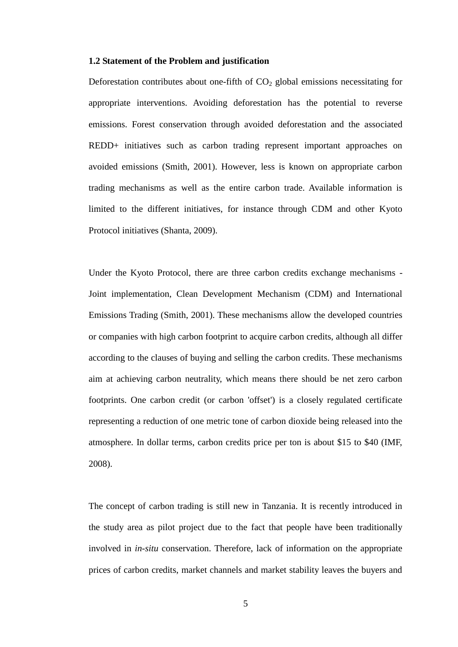#### <span id="page-19-0"></span>**1.2 Statement of the Problem and justification**

Deforestation contributes about one-fifth of  $CO<sub>2</sub>$  global emissions necessitating for appropriate interventions. Avoiding deforestation has the potential to reverse emissions. Forest conservation through avoided deforestation and the associated REDD+ initiatives such as carbon trading represent important approaches on avoided emissions (Smith, 2001). However, less is known on appropriate carbon trading mechanisms as well as the entire carbon trade. Available information is limited to the different initiatives, for instance through CDM and other Kyoto Protocol initiatives (Shanta, 2009).

Under the Kyoto Protocol, there are three carbon credits exchange mechanisms - Joint implementation, Clean Development Mechanism (CDM) and International Emissions Trading (Smith, 2001). These mechanisms allow the developed countries or companies with high carbon footprint to acquire carbon credits, although all differ according to the clauses of buying and selling the carbon credits. These mechanisms aim at achieving carbon neutrality, which means there should be net zero carbon footprints. One carbon credit (or carbon 'offset') is a closely regulated certificate representing a reduction of one metric tone of carbon dioxide being released into the atmosphere. In dollar terms, carbon credits price per ton is about \$15 to \$40 (IMF, 2008).

The concept of carbon trading is still new in Tanzania. It is recently introduced in the study area as pilot project due to the fact that people have been traditionally involved in *in-situ* conservation. Therefore, lack of information on the appropriate prices of carbon credits, market channels and market stability leaves the buyers and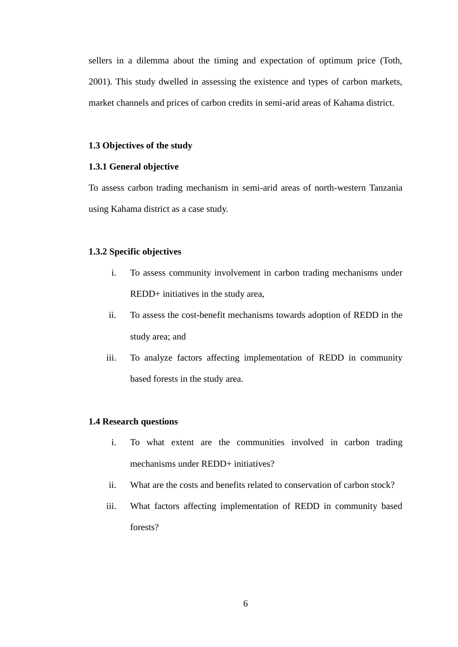sellers in a dilemma about the timing and expectation of optimum price (Toth, 2001). This study dwelled in assessing the existence and types of carbon markets, market channels and prices of carbon credits in semi-arid areas of Kahama district.

#### <span id="page-20-0"></span>**1.3 Objectives of the study**

# <span id="page-20-1"></span>**1.3.1 General objective**

To assess carbon trading mechanism in semi-arid areas of north-western Tanzania using Kahama district as a case study.

#### <span id="page-20-2"></span>**1.3.2 Specific objectives**

- i. To assess community involvement in carbon trading mechanisms under REDD+ initiatives in the study area,
- ii. To assess the cost-benefit mechanisms towards adoption of REDD in the study area; and
- iii. To analyze factors affecting implementation of REDD in community based forests in the study area.

#### <span id="page-20-3"></span>**1.4 Research questions**

- i. To what extent are the communities involved in carbon trading mechanisms under REDD+ initiatives?
- ii. What are the costs and benefits related to conservation of carbon stock?
- iii. What factors affecting implementation of REDD in community based forests?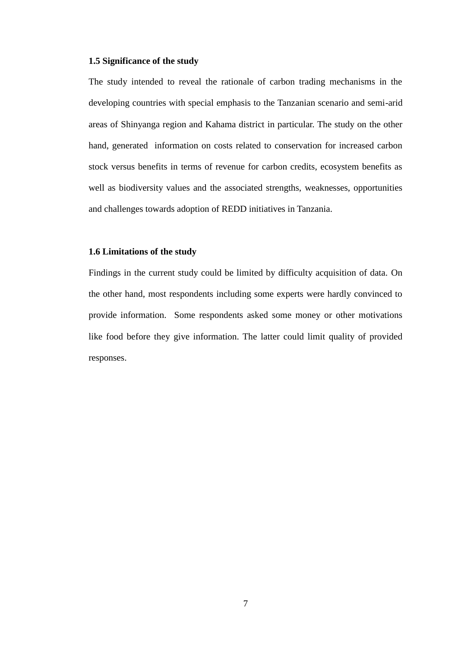#### <span id="page-21-0"></span>**1.5 Significance of the study**

The study intended to reveal the rationale of carbon trading mechanisms in the developing countries with special emphasis to the Tanzanian scenario and semi-arid areas of Shinyanga region and Kahama district in particular. The study on the other hand, generated information on costs related to conservation for increased carbon stock versus benefits in terms of revenue for carbon credits, ecosystem benefits as well as biodiversity values and the associated strengths, weaknesses, opportunities and challenges towards adoption of REDD initiatives in Tanzania.

#### <span id="page-21-1"></span>**1.6 Limitations of the study**

Findings in the current study could be limited by difficulty acquisition of data. On the other hand, most respondents including some experts were hardly convinced to provide information. Some respondents asked some money or other motivations like food before they give information. The latter could limit quality of provided responses.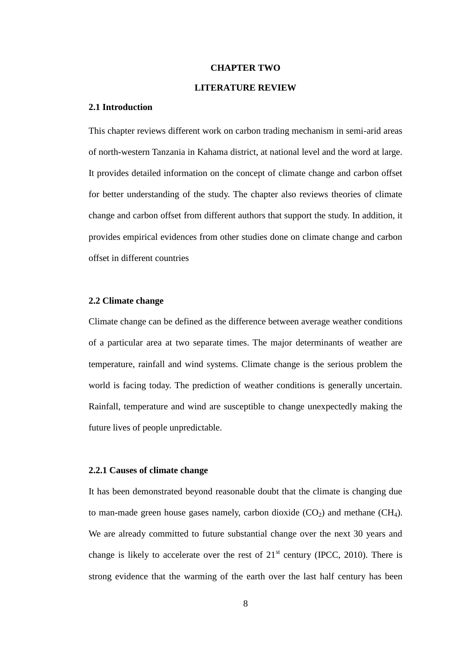## **CHAPTER TWO**

#### **LITERATURE REVIEW**

#### <span id="page-22-2"></span><span id="page-22-1"></span><span id="page-22-0"></span>**2.1 Introduction**

This chapter reviews different work on carbon trading mechanism in semi-arid areas of north-western Tanzania in Kahama district, at national level and the word at large. It provides detailed information on the concept of climate change and carbon offset for better understanding of the study. The chapter also reviews theories of climate change and carbon offset from different authors that support the study. In addition, it provides empirical evidences from other studies done on climate change and carbon offset in different countries

#### <span id="page-22-3"></span>**2.2 Climate change**

Climate change can be defined as the difference between average weather conditions of a particular area at two separate times. The major determinants of weather are temperature, rainfall and wind systems. Climate change is the serious problem the world is facing today. The prediction of weather conditions is generally uncertain. Rainfall, temperature and wind are susceptible to change unexpectedly making the future lives of people unpredictable.

#### <span id="page-22-4"></span>**2.2.1 Causes of climate change**

It has been demonstrated beyond reasonable doubt that the climate is changing due to man-made green house gases namely, carbon dioxide  $(CO_2)$  and methane  $(CH_4)$ . We are already committed to future substantial change over the next 30 years and change is likely to accelerate over the rest of  $21<sup>st</sup>$  century (IPCC, 2010). There is strong evidence that the warming of the earth over the last half century has been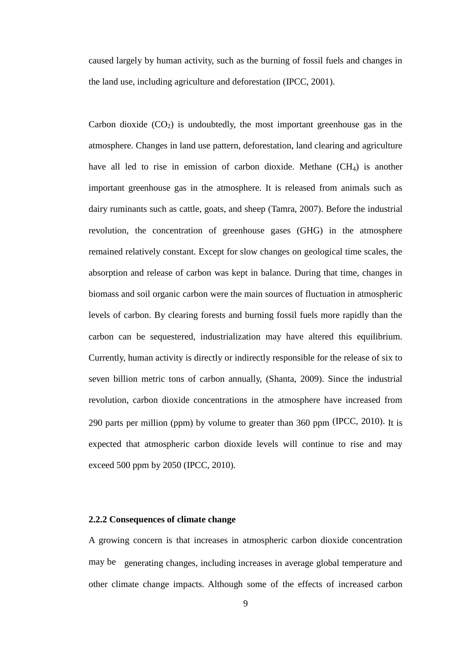caused largely by human activity, such as the burning of fossil fuels and changes in the land use, including agriculture and deforestation (IPCC, 2001).

Carbon dioxide  $(CO_2)$  is undoubtedly, the most important greenhouse gas in the atmosphere. Changes in land use pattern, deforestation, land clearing and agriculture have all led to rise in emission of carbon dioxide. Methane (CH<sub>4</sub>) is another important greenhouse gas in the atmosphere. It is released from animals such as dairy ruminants such as cattle, goats, and sheep (Tamra, 2007). Before the industrial revolution, the concentration of greenhouse gases (GHG) in the atmosphere remained relatively constant. Except for slow changes on geological time scales, the absorption and release of carbon was kept in balance. During that time, changes in biomass and soil organic carbon were the main sources of fluctuation in atmospheric levels of carbon. By clearing forests and burning fossil fuels more rapidly than the carbon can be sequestered, industrialization may have altered this equilibrium. Currently, human activity is directly or indirectly responsible for the release of six to seven billion metric tons of carbon annually, (Shanta, 2009). Since the industrial revolution, carbon dioxide concentrations in the atmosphere have increased from 290 parts per million (ppm) by volume to greater than 360 ppm (IPCC, 2010). It is expected that atmospheric carbon dioxide levels will continue to rise and may exceed 500 ppm by 2050 (IPCC, 2010).

#### <span id="page-23-0"></span>**2.2.2 Consequences of climate change**

A growing concern is that increases in atmospheric carbon dioxide concentration may be generating changes, including increases in average global temperature and other climate change impacts. Although some of the effects of increased carbon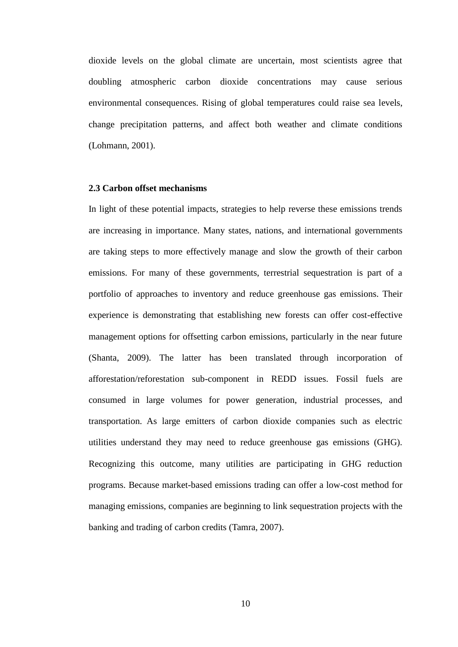dioxide levels on the global climate are uncertain, most scientists agree that doubling atmospheric carbon dioxide concentrations may cause serious environmental consequences. Rising of global temperatures could raise sea levels, change precipitation patterns, and affect both weather and climate conditions (Lohmann, 2001).

#### <span id="page-24-0"></span>**2.3 Carbon offset mechanisms**

In light of these potential impacts, strategies to help reverse these emissions trends are increasing in importance. Many states, nations, and international governments are taking steps to more effectively manage and slow the growth of their carbon emissions. For many of these governments, terrestrial sequestration is part of a portfolio of approaches to inventory and reduce greenhouse gas emissions. Their experience is demonstrating that establishing new forests can offer cost-effective management options for offsetting carbon emissions, particularly in the near future (Shanta, 2009). The latter has been translated through incorporation of afforestation/reforestation sub-component in REDD issues. Fossil fuels are consumed in large volumes for power generation, industrial processes, and transportation. As large emitters of carbon dioxide companies such as electric utilities understand they may need to reduce greenhouse gas emissions (GHG). Recognizing this outcome, many utilities are participating in GHG reduction programs. Because market-based emissions trading can offer a low-cost method for managing emissions, companies are beginning to link sequestration projects with the banking and trading of carbon credits (Tamra, 2007).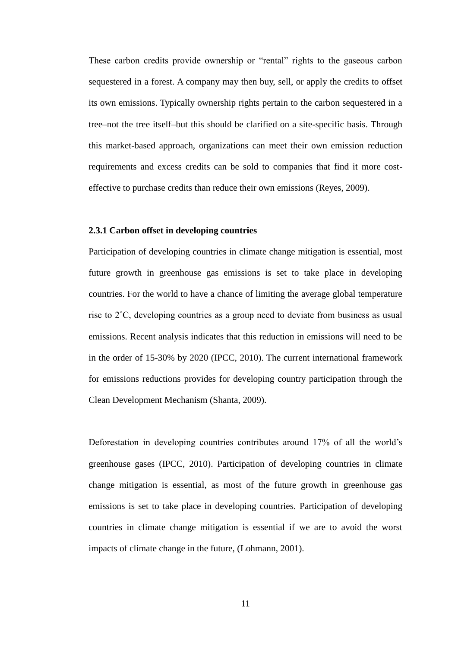These carbon credits provide ownership or "rental" rights to the gaseous carbon sequestered in a forest. A company may then buy, sell, or apply the credits to offset its own emissions. Typically ownership rights pertain to the carbon sequestered in a tree–not the tree itself–but this should be clarified on a site-specific basis. Through this market-based approach, organizations can meet their own emission reduction requirements and excess credits can be sold to companies that find it more costeffective to purchase credits than reduce their own emissions (Reyes, 2009).

#### <span id="page-25-0"></span>**2.3.1 Carbon offset in developing countries**

Participation of developing countries in climate change mitigation is essential, most future growth in greenhouse gas emissions is set to take place in developing countries. For the world to have a chance of limiting the average global temperature rise to 2˚C, developing countries as a group need to deviate from business as usual emissions. Recent analysis indicates that this reduction in emissions will need to be in the order of 15-30% by 2020 (IPCC, 2010). The current international framework for emissions reductions provides for developing country participation through the Clean Development Mechanism (Shanta, 2009).

Deforestation in developing countries contributes around 17% of all the world"s greenhouse gases (IPCC, 2010). Participation of developing countries in climate change mitigation is essential, as most of the future growth in greenhouse gas emissions is set to take place in developing countries. Participation of developing countries in climate change mitigation is essential if we are to avoid the worst impacts of climate change in the future, (Lohmann, 2001).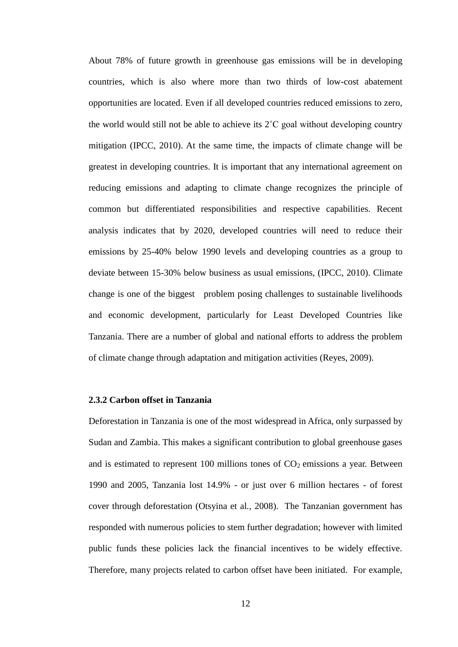About 78% of future growth in greenhouse gas emissions will be in developing countries, which is also where more than two thirds of low-cost abatement opportunities are located. Even if all developed countries reduced emissions to zero, the world would still not be able to achieve its 2˚C goal without developing country mitigation (IPCC, 2010). At the same time, the impacts of climate change will be greatest in developing countries. It is important that any international agreement on reducing emissions and adapting to climate change recognizes the principle of common but differentiated responsibilities and respective capabilities. Recent analysis indicates that by 2020, developed countries will need to reduce their emissions by 25-40% below 1990 levels and developing countries as a group to deviate between 15-30% below business as usual emissions, (IPCC, 2010). Climate change is one of the biggest problem posing challenges to sustainable livelihoods and economic development, particularly for Least Developed Countries like Tanzania. There are a number of global and national efforts to address the problem of climate change through adaptation and mitigation activities (Reyes, 2009).

## <span id="page-26-0"></span>**2.3.2 Carbon offset in Tanzania**

Deforestation in Tanzania is one of the most widespread in Africa, only surpassed by Sudan and Zambia. This makes a significant contribution to global greenhouse gases and is estimated to represent 100 millions tones of  $CO<sub>2</sub>$  emissions a year. Between 1990 and 2005, Tanzania lost 14.9% - or just over 6 million hectares - of forest cover through deforestation (Otsyina et al*.,* 2008). The Tanzanian government has responded with numerous policies to stem further degradation; however with limited public funds these policies lack the financial incentives to be widely effective. Therefore, many projects related to carbon offset have been initiated. For example,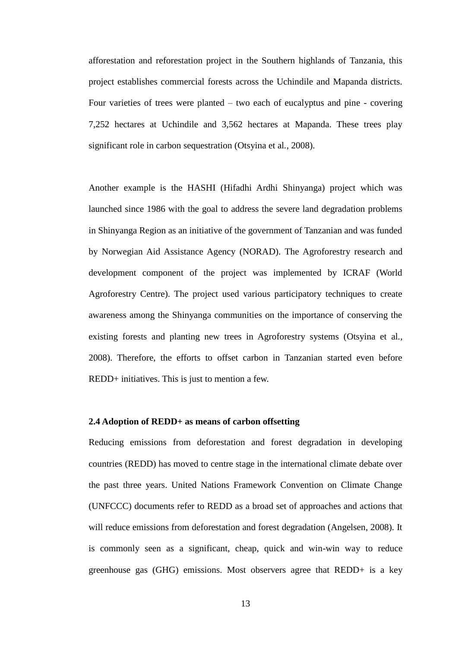afforestation and reforestation project in the Southern highlands of Tanzania, this project establishes commercial forests across the Uchindile and Mapanda districts. Four varieties of trees were planted – two each of eucalyptus and pine - covering 7,252 hectares at Uchindile and 3,562 hectares at Mapanda. These trees play significant role in carbon sequestration (Otsyina et al*.,* 2008).

Another example is the HASHI (Hifadhi Ardhi Shinyanga) project which was launched since 1986 with the goal to address the severe land degradation problems in Shinyanga Region as an initiative of the government of Tanzanian and was funded by Norwegian Aid Assistance Agency (NORAD). The Agroforestry research and development component of the project was implemented by ICRAF (World Agroforestry Centre). The project used various participatory techniques to create awareness among the Shinyanga communities on the importance of conserving the existing forests and planting new trees in Agroforestry systems (Otsyina et al*.,* 2008). Therefore, the efforts to offset carbon in Tanzanian started even before REDD+ initiatives. This is just to mention a few.

#### <span id="page-27-0"></span>**2.4 Adoption of REDD+ as means of carbon offsetting**

Reducing emissions from deforestation and forest degradation in developing countries (REDD) has moved to centre stage in the international climate debate over the past three years. United Nations Framework Convention on Climate Change (UNFCCC) documents refer to REDD as a broad set of approaches and actions that will reduce emissions from deforestation and forest degradation (Angelsen, 2008). It is commonly seen as a significant, cheap, quick and win-win way to reduce greenhouse gas (GHG) emissions. Most observers agree that REDD+ is a key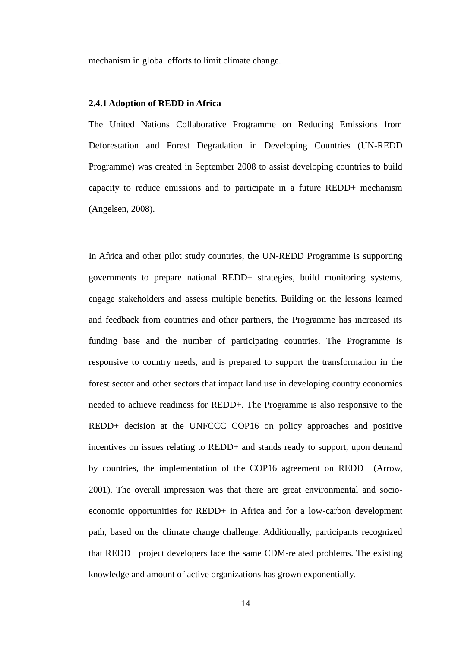mechanism in global efforts to limit climate change.

#### <span id="page-28-0"></span>**2.4.1 Adoption of REDD in Africa**

The United Nations Collaborative Programme on Reducing Emissions from Deforestation and Forest Degradation in Developing Countries (UN-REDD Programme) was created in September 2008 to assist developing countries to build capacity to reduce emissions and to participate in a future REDD+ mechanism (Angelsen, 2008).

In Africa and other pilot study countries, the UN-REDD Programme is supporting governments to prepare national REDD+ strategies, build monitoring systems, engage stakeholders and assess multiple benefits. Building on the lessons learned and feedback from countries and other partners, the Programme has increased its funding base and the number of participating countries. The Programme is responsive to country needs, and is prepared to support the transformation in the forest sector and other sectors that impact land use in developing country economies needed to achieve readiness for REDD+. The Programme is also responsive to the REDD+ decision at the UNFCCC COP16 on policy approaches and positive incentives on issues relating to REDD+ and stands ready to support, upon demand by countries, the implementation of the COP16 agreement on REDD+ (Arrow, 2001). The overall impression was that there are great environmental and socioeconomic opportunities for REDD+ in Africa and for a low-carbon development path, based on the climate change challenge. Additionally, participants recognized that REDD+ project developers face the same CDM-related problems. The existing knowledge and amount of active organizations has grown exponentially.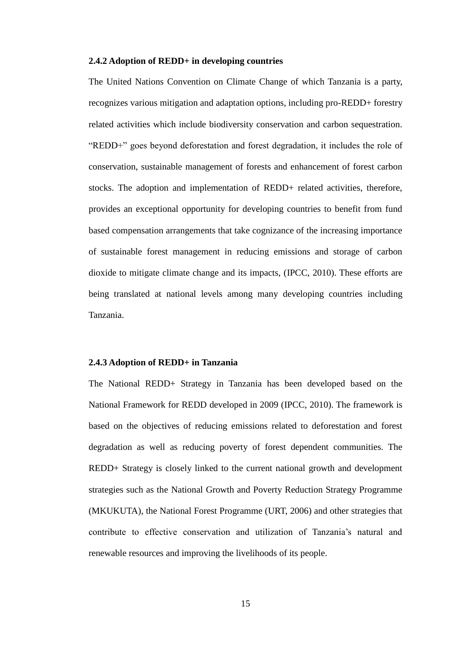#### <span id="page-29-0"></span>**2.4.2 Adoption of REDD+ in developing countries**

The United Nations Convention on Climate Change of which Tanzania is a party, recognizes various mitigation and adaptation options, including pro-REDD+ forestry related activities which include biodiversity conservation and carbon sequestration. "REDD+" goes beyond deforestation and forest degradation, it includes the role of conservation, sustainable management of forests and enhancement of forest carbon stocks. The adoption and implementation of REDD+ related activities, therefore, provides an exceptional opportunity for developing countries to benefit from fund based compensation arrangements that take cognizance of the increasing importance of sustainable forest management in reducing emissions and storage of carbon dioxide to mitigate climate change and its impacts, (IPCC, 2010). These efforts are being translated at national levels among many developing countries including Tanzania.

#### <span id="page-29-1"></span>**2.4.3 Adoption of REDD+ in Tanzania**

The National REDD+ Strategy in Tanzania has been developed based on the National Framework for REDD developed in 2009 (IPCC, 2010). The framework is based on the objectives of reducing emissions related to deforestation and forest degradation as well as reducing poverty of forest dependent communities. The REDD+ Strategy is closely linked to the current national growth and development strategies such as the National Growth and Poverty Reduction Strategy Programme (MKUKUTA), the National Forest Programme (URT, 2006) and other strategies that contribute to effective conservation and utilization of Tanzania"s natural and renewable resources and improving the livelihoods of its people.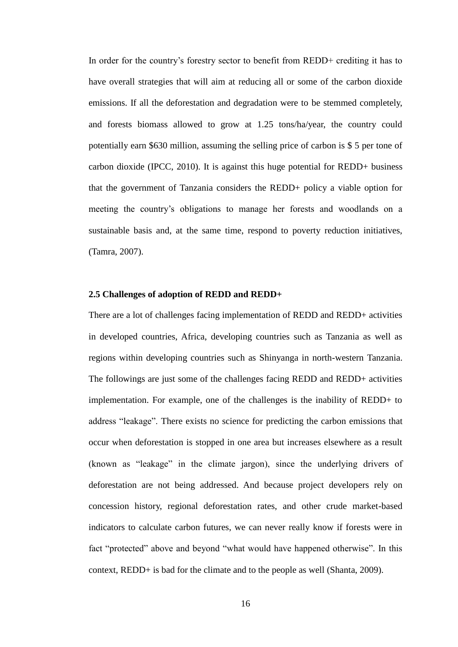In order for the country"s forestry sector to benefit from REDD+ crediting it has to have overall strategies that will aim at reducing all or some of the carbon dioxide emissions. If all the deforestation and degradation were to be stemmed completely, and forests biomass allowed to grow at 1.25 tons/ha/year, the country could potentially earn \$630 million, assuming the selling price of carbon is \$ 5 per tone of carbon dioxide (IPCC, 2010). It is against this huge potential for REDD+ business that the government of Tanzania considers the REDD+ policy a viable option for meeting the country's obligations to manage her forests and woodlands on a sustainable basis and, at the same time, respond to poverty reduction initiatives, (Tamra, 2007).

#### <span id="page-30-0"></span>**2.5 Challenges of adoption of REDD and REDD+**

There are a lot of challenges facing implementation of REDD and REDD+ activities in developed countries, Africa, developing countries such as Tanzania as well as regions within developing countries such as Shinyanga in north-western Tanzania. The followings are just some of the challenges facing REDD and REDD+ activities implementation. For example, one of the challenges is the inability of REDD+ to address "leakage". There exists no science for predicting the carbon emissions that occur when deforestation is stopped in one area but increases elsewhere as a result (known as "leakage" in the climate jargon), since the underlying drivers of deforestation are not being addressed. And because project developers rely on concession history, regional deforestation rates, and other crude market-based indicators to calculate carbon futures, we can never really know if forests were in fact "protected" above and beyond "what would have happened otherwise". In this context, REDD+ is bad for the climate and to the people as well (Shanta, 2009).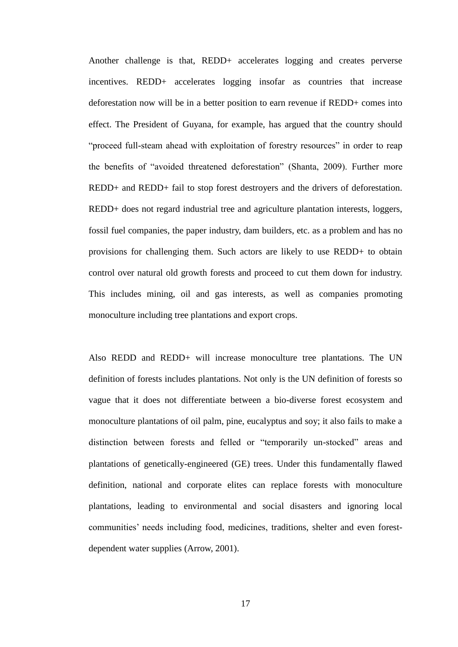Another challenge is that, REDD+ accelerates logging and creates perverse incentives. REDD+ accelerates logging insofar as countries that increase deforestation now will be in a better position to earn revenue if REDD+ comes into effect. The President of Guyana, for example, has argued that the country should "proceed full-steam ahead with exploitation of forestry resources" in order to reap the benefits of "avoided threatened deforestation" (Shanta, 2009). Further more REDD+ and REDD+ fail to stop forest destroyers and the drivers of deforestation. REDD+ does not regard industrial tree and agriculture plantation interests, loggers, fossil fuel companies, the paper industry, dam builders, etc. as a problem and has no provisions for challenging them. Such actors are likely to use REDD+ to obtain control over natural old growth forests and proceed to cut them down for industry. This includes mining, oil and gas interests, as well as companies promoting monoculture including tree plantations and export crops.

Also REDD and REDD+ will increase monoculture tree plantations. The UN definition of forests includes plantations. Not only is the UN definition of forests so vague that it does not differentiate between a bio-diverse forest ecosystem and monoculture plantations of oil palm, pine, eucalyptus and soy; it also fails to make a distinction between forests and felled or "temporarily un-stocked" areas and plantations of genetically-engineered (GE) trees. Under this fundamentally flawed definition, national and corporate elites can replace forests with monoculture plantations, leading to environmental and social disasters and ignoring local communities' needs including food, medicines, traditions, shelter and even forestdependent water supplies (Arrow, 2001).

17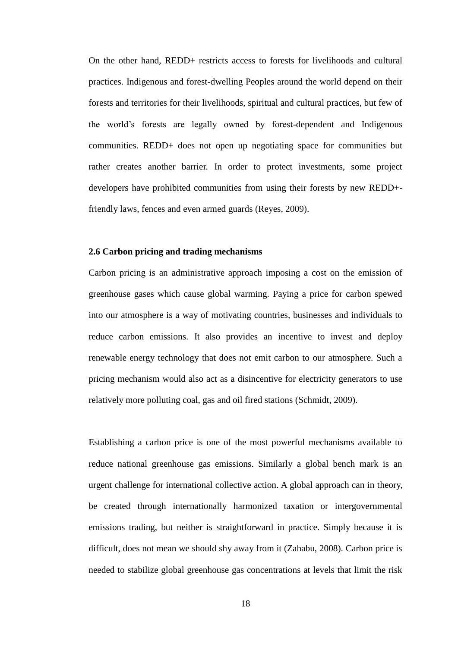On the other hand, REDD+ restricts access to forests for livelihoods and cultural practices. Indigenous and forest-dwelling Peoples around the world depend on their forests and territories for their livelihoods, spiritual and cultural practices, but few of the world"s forests are legally owned by forest-dependent and Indigenous communities. REDD+ does not open up negotiating space for communities but rather creates another barrier. In order to protect investments, some project developers have prohibited communities from using their forests by new REDD+ friendly laws, fences and even armed guards (Reyes, 2009).

#### <span id="page-32-0"></span>**2.6 Carbon pricing and trading mechanisms**

Carbon pricing is an administrative approach imposing a cost on the emission of greenhouse gases which cause global warming. Paying a price for carbon spewed into our atmosphere is a way of motivating countries, businesses and individuals to reduce carbon emissions. It also provides an incentive to invest and deploy renewable energy technology that does not emit carbon to our atmosphere. Such a pricing mechanism would also act as a disincentive for electricity generators to use relatively more polluting coal, gas and oil fired stations (Schmidt, 2009).

Establishing a carbon price is one of the most powerful mechanisms available to reduce national greenhouse gas emissions. Similarly a global bench mark is an urgent challenge for international collective action. A global approach can in theory, be created through internationally harmonized taxation or intergovernmental emissions trading, but neither is straightforward in practice. Simply because it is difficult, does not mean we should shy away from it (Zahabu, 2008). Carbon price is needed to stabilize global greenhouse gas concentrations at levels that limit the risk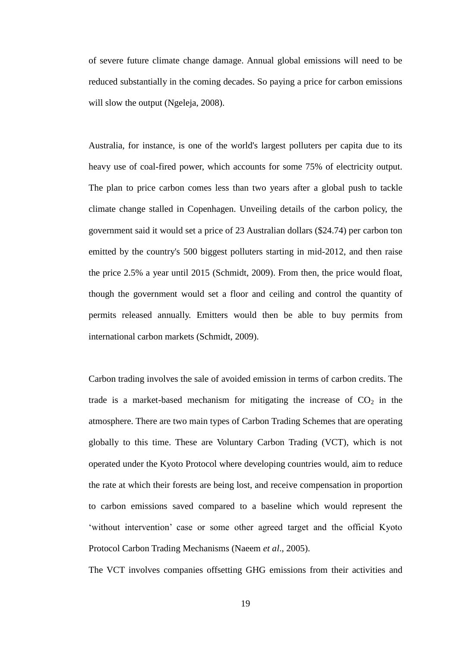of severe future climate change damage. Annual global emissions will need to be reduced substantially in the coming decades. So paying a price for carbon emissions will slow the output (Ngeleja, 2008).

Australia, for instance, is one of the world's largest polluters per capita due to its heavy use of coal-fired power, which accounts for some 75% of electricity output. The plan to price carbon comes less than two years after a global push to tackle climate change stalled in Copenhagen. Unveiling details of the carbon policy, the government said it would set a price of 23 Australian dollars (\$24.74) per carbon ton emitted by the country's 500 biggest polluters starting in mid-2012, and then raise the price 2.5% a year until 2015 (Schmidt, 2009). From then, the price would float, though the government would set a floor and ceiling and control the quantity of permits released annually. Emitters would then be able to buy permits from international carbon markets (Schmidt, 2009).

Carbon trading involves the sale of avoided emission in terms of carbon credits. The trade is a market-based mechanism for mitigating the increase of  $CO<sub>2</sub>$  in the atmosphere. There are two main types of Carbon Trading Schemes that are operating globally to this time. These are Voluntary Carbon Trading (VCT), which is not operated under the Kyoto Protocol where developing countries would, aim to reduce the rate at which their forests are being lost, and receive compensation in proportion to carbon emissions saved compared to a baseline which would represent the "without intervention" case or some other agreed target and the official Kyoto Protocol Carbon Trading Mechanisms (Naeem *et al*., 2005).

The VCT involves companies offsetting GHG emissions from their activities and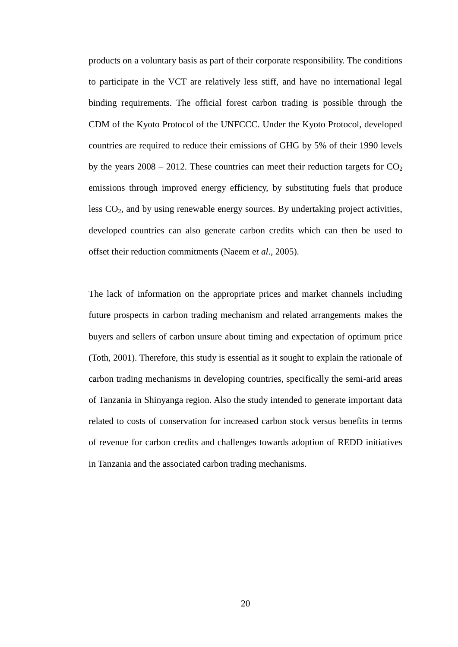products on a voluntary basis as part of their corporate responsibility. The conditions to participate in the VCT are relatively less stiff, and have no international legal binding requirements. The official forest carbon trading is possible through the CDM of the Kyoto Protocol of the UNFCCC. Under the Kyoto Protocol, developed countries are required to reduce their emissions of GHG by 5% of their 1990 levels by the years  $2008 - 2012$ . These countries can meet their reduction targets for  $CO<sub>2</sub>$ emissions through improved energy efficiency, by substituting fuels that produce less  $CO<sub>2</sub>$ , and by using renewable energy sources. By undertaking project activities, developed countries can also generate carbon credits which can then be used to offset their reduction commitments (Naeem e*t al*., 2005).

The lack of information on the appropriate prices and market channels including future prospects in carbon trading mechanism and related arrangements makes the buyers and sellers of carbon unsure about timing and expectation of optimum price (Toth, 2001). Therefore, this study is essential as it sought to explain the rationale of carbon trading mechanisms in developing countries, specifically the semi-arid areas of Tanzania in Shinyanga region. Also the study intended to generate important data related to costs of conservation for increased carbon stock versus benefits in terms of revenue for carbon credits and challenges towards adoption of REDD initiatives in Tanzania and the associated carbon trading mechanisms.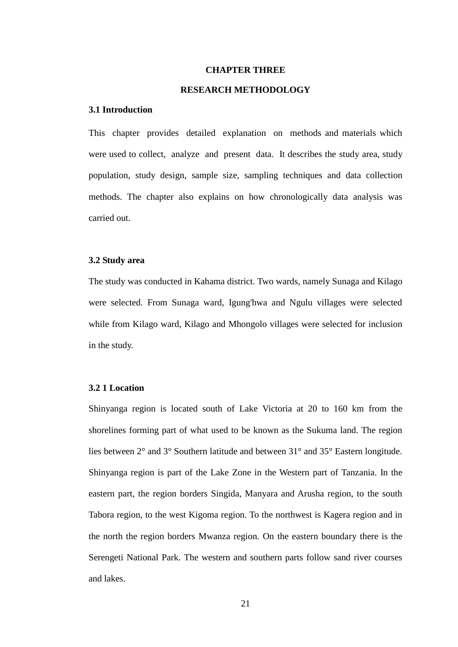#### **CHAPTER THREE**

#### **RESEARCH METHODOLOGY**

#### <span id="page-35-2"></span><span id="page-35-1"></span><span id="page-35-0"></span>**3.1 Introduction**

This chapter provides detailed explanation on methods and materials which were used to collect, analyze and present data. It describes the study area, study population, study design, sample size, sampling techniques and data collection methods. The chapter also explains on how chronologically data analysis was carried out.

#### <span id="page-35-3"></span>**3.2 Study area**

The study was conducted in Kahama district. Two wards, namely Sunaga and Kilago were selected. From Sunaga ward, Igung'hwa and Ngulu villages were selected while from Kilago ward, Kilago and Mhongolo villages were selected for inclusion in the study.

#### <span id="page-35-4"></span>**3.2 1 Location**

Shinyanga region is located south of Lake Victoria at 20 to 160 km from the shorelines forming part of what used to be known as the Sukuma land. The region lies between 2° and 3° Southern latitude and between 31° and 35° Eastern longitude. Shinyanga region is part of the Lake Zone in the Western part of Tanzania. In the eastern part, the region borders Singida, Manyara and Arusha region, to the south Tabora region, to the west Kigoma region. To the northwest is Kagera region and in the north the region borders Mwanza region. On the eastern boundary there is the Serengeti National Park. The western and southern parts follow sand river courses and lakes.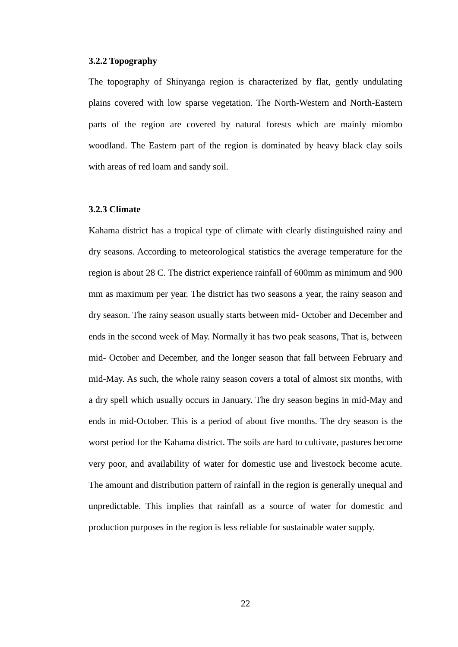#### **3.2.2 Topography**

The topography of Shinyanga region is characterized by flat, gently undulating plains covered with low sparse vegetation. The North-Western and North-Eastern parts of the region are covered by natural forests which are mainly miombo woodland. The Eastern part of the region is dominated by heavy black clay soils with areas of red loam and sandy soil.

#### **3.2.3 Climate**

Kahama district has a tropical type of climate with clearly distinguished rainy and dry seasons. According to meteorological statistics the average temperature for the region is about 28 C. The district experience rainfall of 600mm as minimum and 900 mm as maximum per year. The district has two seasons a year, the rainy season and dry season. The rainy season usually starts between mid- October and December and ends in the second week of May. Normally it has two peak seasons, That is, between mid- October and December, and the longer season that fall between February and mid-May. As such, the whole rainy season covers a total of almost six months, with a dry spell which usually occurs in January. The dry season begins in mid-May and ends in mid-October. This is a period of about five months. The dry season is the worst period for the Kahama district. The soils are hard to cultivate, pastures become very poor, and availability of water for domestic use and livestock become acute. The amount and distribution pattern of rainfall in the region is generally unequal and unpredictable. This implies that rainfall as a source of water for domestic and production purposes in the region is less reliable for sustainable water supply.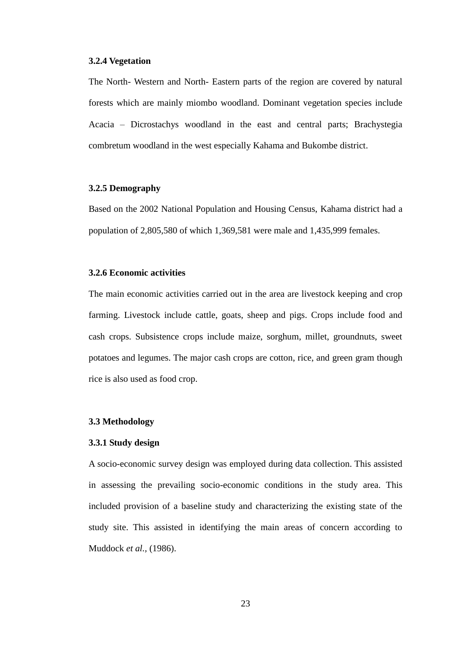#### **3.2.4 Vegetation**

The North- Western and North- Eastern parts of the region are covered by natural forests which are mainly miombo woodland. Dominant vegetation species include Acacia – Dicrostachys woodland in the east and central parts; Brachystegia combretum woodland in the west especially Kahama and Bukombe district.

# **3.2.5 Demography**

Based on the 2002 National Population and Housing Census, Kahama district had a population of 2,805,580 of which 1,369,581 were male and 1,435,999 females.

# **3.2.6 Economic activities**

The main economic activities carried out in the area are livestock keeping and crop farming. Livestock include cattle, goats, sheep and pigs. Crops include food and cash crops. Subsistence crops include maize, sorghum, millet, groundnuts, sweet potatoes and legumes. The major cash crops are cotton, rice, and green gram though rice is also used as food crop.

# **3.3 Methodology**

#### **3.3.1 Study design**

A socio-economic survey design was employed during data collection. This assisted in assessing the prevailing socio-economic conditions in the study area. This included provision of a baseline study and characterizing the existing state of the study site. This assisted in identifying the main areas of concern according to Muddock *et al.,* (1986).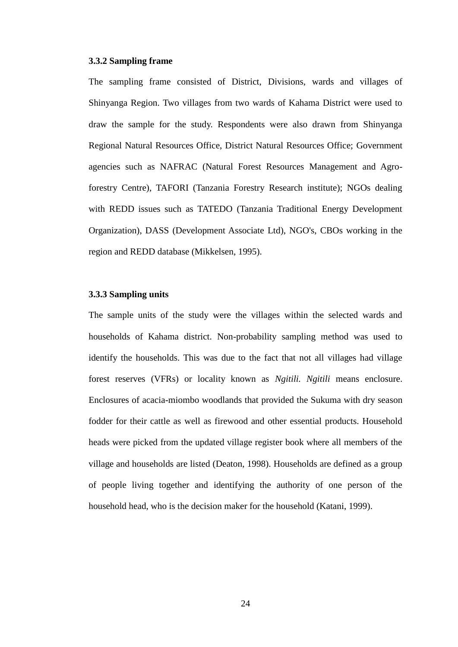#### **3.3.2 Sampling frame**

The sampling frame consisted of District, Divisions, wards and villages of Shinyanga Region. Two villages from two wards of Kahama District were used to draw the sample for the study. Respondents were also drawn from Shinyanga Regional Natural Resources Office, District Natural Resources Office; Government agencies such as NAFRAC (Natural Forest Resources Management and Agroforestry Centre), TAFORI (Tanzania Forestry Research institute); NGOs dealing with REDD issues such as TATEDO (Tanzania Traditional Energy Development Organization), DASS (Development Associate Ltd), NGO's, CBOs working in the region and REDD database (Mikkelsen, 1995).

# **3.3.3 Sampling units**

The sample units of the study were the villages within the selected wards and households of Kahama district. Non-probability sampling method was used to identify the households. This was due to the fact that not all villages had village forest reserves (VFRs) or locality known as *Ngitili. Ngitili* means enclosure. Enclosures of acacia-miombo woodlands that provided the Sukuma with dry season fodder for their cattle as well as firewood and other essential products. Household heads were picked from the updated village register book where all members of the village and households are listed (Deaton, 1998). Households are defined as a group of people living together and identifying the authority of one person of the household head, who is the decision maker for the household (Katani, 1999).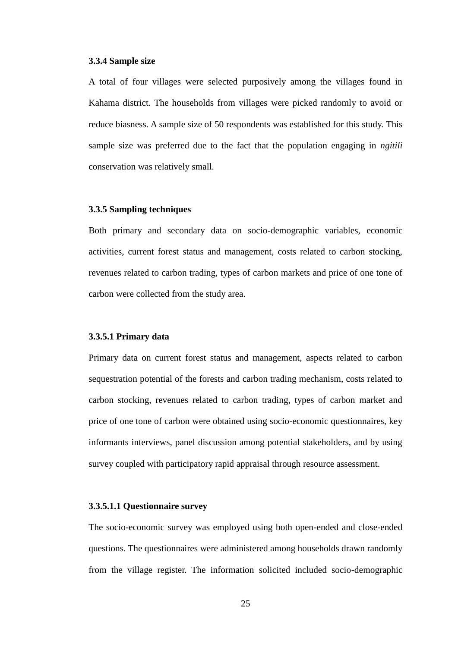#### **3.3.4 Sample size**

A total of four villages were selected purposively among the villages found in Kahama district. The households from villages were picked randomly to avoid or reduce biasness. A sample size of 50 respondents was established for this study. This sample size was preferred due to the fact that the population engaging in *ngitili* conservation was relatively small.

#### **3.3.5 Sampling techniques**

Both primary and secondary data on socio-demographic variables, economic activities, current forest status and management, costs related to carbon stocking, revenues related to carbon trading, types of carbon markets and price of one tone of carbon were collected from the study area.

#### **3.3.5.1 Primary data**

Primary data on current forest status and management, aspects related to carbon sequestration potential of the forests and carbon trading mechanism, costs related to carbon stocking, revenues related to carbon trading, types of carbon market and price of one tone of carbon were obtained using socio-economic questionnaires, key informants interviews, panel discussion among potential stakeholders, and by using survey coupled with participatory rapid appraisal through resource assessment.

#### **3.3.5.1.1 Questionnaire survey**

The socio-economic survey was employed using both open-ended and close-ended questions. The questionnaires were administered among households drawn randomly from the village register. The information solicited included socio-demographic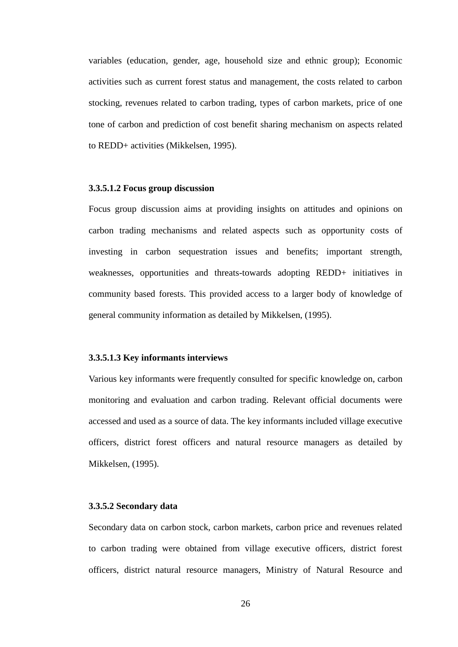variables (education, gender, age, household size and ethnic group); Economic activities such as current forest status and management, the costs related to carbon stocking, revenues related to carbon trading, types of carbon markets, price of one tone of carbon and prediction of cost benefit sharing mechanism on aspects related to REDD+ activities (Mikkelsen, 1995).

#### **3.3.5.1.2 Focus group discussion**

Focus group discussion aims at providing insights on attitudes and opinions on carbon trading mechanisms and related aspects such as opportunity costs of investing in carbon sequestration issues and benefits; important strength, weaknesses, opportunities and threats-towards adopting REDD+ initiatives in community based forests. This provided access to a larger body of knowledge of general community information as detailed by Mikkelsen, (1995).

#### **3.3.5.1.3 Key informants interviews**

Various key informants were frequently consulted for specific knowledge on, carbon monitoring and evaluation and carbon trading. Relevant official documents were accessed and used as a source of data. The key informants included village executive officers, district forest officers and natural resource managers as detailed by Mikkelsen, (1995).

#### **3.3.5.2 Secondary data**

Secondary data on carbon stock, carbon markets, carbon price and revenues related to carbon trading were obtained from village executive officers, district forest officers, district natural resource managers, Ministry of Natural Resource and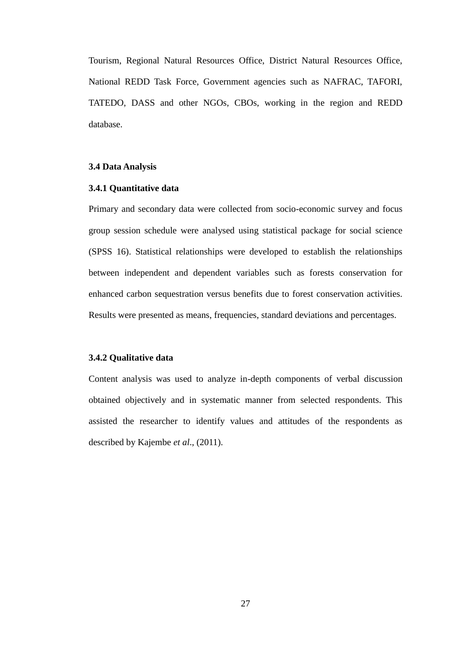Tourism, Regional Natural Resources Office, District Natural Resources Office, National REDD Task Force, Government agencies such as NAFRAC, TAFORI, TATEDO, DASS and other NGOs, CBOs, working in the region and REDD database.

#### **3.4 Data Analysis**

#### **3.4.1 Quantitative data**

Primary and secondary data were collected from socio-economic survey and focus group session schedule were analysed using statistical package for social science (SPSS 16). Statistical relationships were developed to establish the relationships between independent and dependent variables such as forests conservation for enhanced carbon sequestration versus benefits due to forest conservation activities. Results were presented as means, frequencies, standard deviations and percentages.

# **3.4.2 Qualitative data**

Content analysis was used to analyze in-depth components of verbal discussion obtained objectively and in systematic manner from selected respondents. This assisted the researcher to identify values and attitudes of the respondents as described by Kajembe *et al*., (2011).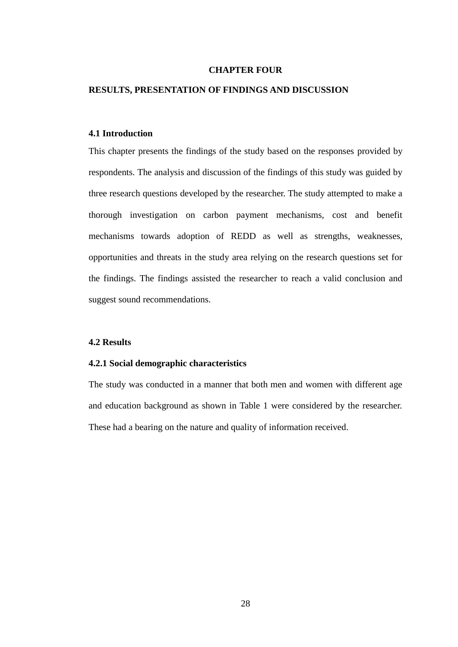# **CHAPTER FOUR**

# **RESULTS, PRESENTATION OF FINDINGS AND DISCUSSION**

# **4.1 Introduction**

This chapter presents the findings of the study based on the responses provided by respondents. The analysis and discussion of the findings of this study was guided by three research questions developed by the researcher. The study attempted to make a thorough investigation on carbon payment mechanisms, cost and benefit mechanisms towards adoption of REDD as well as strengths, weaknesses, opportunities and threats in the study area relying on the research questions set for the findings. The findings assisted the researcher to reach a valid conclusion and suggest sound recommendations.

# **4.2 Results**

#### **4.2.1 Social demographic characteristics**

The study was conducted in a manner that both men and women with different age and education background as shown in Table 1 were considered by the researcher. These had a bearing on the nature and quality of information received.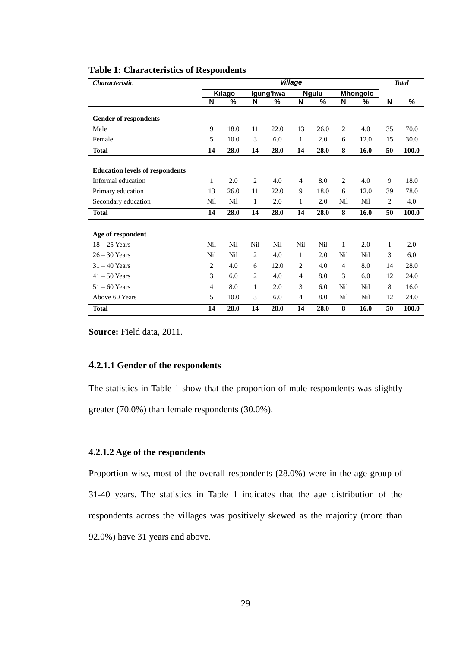| <b>Characteristic</b>                  | Village        |        |                |           |                |              |                |                 |    | <b>Total</b> |
|----------------------------------------|----------------|--------|----------------|-----------|----------------|--------------|----------------|-----------------|----|--------------|
|                                        |                | Kilago |                | Igung'hwa |                | <b>Ngulu</b> |                | <b>Mhongolo</b> |    |              |
|                                        | N              | %      | N              | %         | N              | %            | N              | %               | N  | %            |
| <b>Gender of respondents</b>           |                |        |                |           |                |              |                |                 |    |              |
| Male                                   | 9              | 18.0   | 11             | 22.0      | 13             | 26.0         | $\overline{2}$ | 4.0             | 35 | 70.0         |
| Female                                 | 5              | 10.0   | 3              | 6.0       | 1              | 2.0          | 6              | 12.0            | 15 | 30.0         |
| <b>Total</b>                           | 14             | 28.0   | 14             | 28.0      | 14             | 28.0         | 8              | 16.0            | 50 | 100.0        |
|                                        |                |        |                |           |                |              |                |                 |    |              |
| <b>Education levels of respondents</b> |                |        |                |           |                |              |                |                 |    |              |
| Informal education                     | 1              | 2.0    | 2              | 4.0       | $\overline{4}$ | 8.0          | 2              | 4.0             | 9  | 18.0         |
| Primary education                      | 13             | 26.0   | 11             | 22.0      | 9              | 18.0         | 6              | 12.0            | 39 | 78.0         |
| Secondary education                    | Nil            | Nil    | 1              | 2.0       | 1              | 2.0          | Nil            | Nil             | 2  | 4.0          |
| <b>Total</b>                           | 14             | 28.0   | 14             | 28.0      | 14             | 28.0         | 8              | 16.0            | 50 | 100.0        |
|                                        |                |        |                |           |                |              |                |                 |    |              |
| Age of respondent                      |                |        |                |           |                |              |                |                 |    |              |
| $18 - 25$ Years                        | Nil            | Nil    | Nil            | Nil       | Nil            | Nil          | 1              | 2.0             | 1  | 2.0          |
| $26 - 30$ Years                        | Nil            | Nil    | 2              | 4.0       | 1              | 2.0          | Nil            | Nil             | 3  | 6.0          |
| $31 - 40$ Years                        | $\overline{2}$ | 4.0    | 6              | 12.0      | 2              | 4.0          | $\overline{4}$ | 8.0             | 14 | 28.0         |
| $41 - 50$ Years                        | 3              | 6.0    | $\overline{2}$ | 4.0       | 4              | 8.0          | 3              | 6.0             | 12 | 24.0         |
| $51 - 60$ Years                        | $\overline{4}$ | 8.0    | 1              | 2.0       | 3              | 6.0          | Nil            | Nil             | 8  | 16.0         |
| Above 60 Years                         | 5              | 10.0   | 3              | 6.0       | $\overline{4}$ | 8.0          | Nil            | Nil             | 12 | 24.0         |
| <b>Total</b>                           | 14             | 28.0   | 14             | 28.0      | 14             | 28.0         | 8              | 16.0            | 50 | 100.0        |

# **Table 1: Characteristics of Respondents**

**Source:** Field data, 2011.

#### **4.2.1.1 Gender of the respondents**

The statistics in Table 1 show that the proportion of male respondents was slightly greater (70.0%) than female respondents (30.0%).

# **4.2.1.2 Age of the respondents**

Proportion-wise, most of the overall respondents (28.0%) were in the age group of 31-40 years. The statistics in Table 1 indicates that the age distribution of the respondents across the villages was positively skewed as the majority (more than 92.0%) have 31 years and above.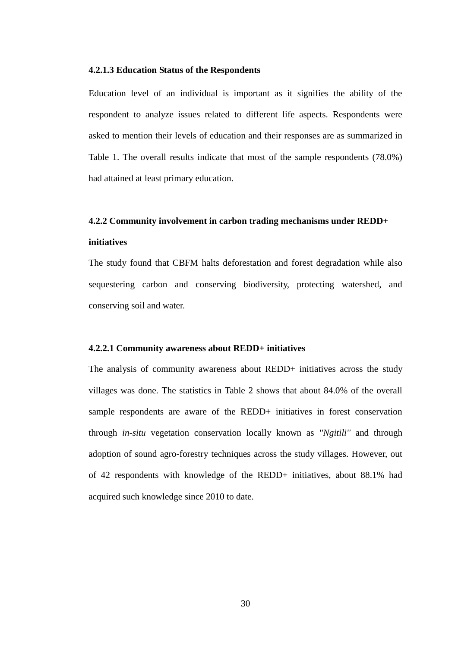#### **4.2.1.3 Education Status of the Respondents**

Education level of an individual is important as it signifies the ability of the respondent to analyze issues related to different life aspects. Respondents were asked to mention their levels of education and their responses are as summarized in Table 1. The overall results indicate that most of the sample respondents (78.0%) had attained at least primary education.

#### **4.2.2 Community involvement in carbon trading mechanisms under REDD+**

# **initiatives**

The study found that CBFM halts deforestation and forest degradation while also sequestering carbon and conserving biodiversity, protecting watershed, and conserving soil and water.

# **4.2.2.1 Community awareness about REDD+ initiatives**

The analysis of community awareness about REDD+ initiatives across the study villages was done. The statistics in Table 2 shows that about 84.0% of the overall sample respondents are aware of the REDD+ initiatives in forest conservation through *in-situ* vegetation conservation locally known as *''Ngitili''* and through adoption of sound agro-forestry techniques across the study villages. However, out of 42 respondents with knowledge of the REDD+ initiatives, about 88.1% had acquired such knowledge since 2010 to date.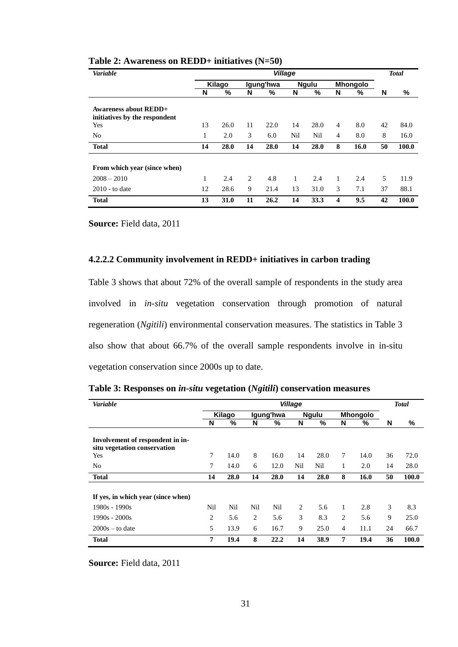| Variable                                                      |    |        |                | <b>Total</b> |              |              |                |                 |    |       |
|---------------------------------------------------------------|----|--------|----------------|--------------|--------------|--------------|----------------|-----------------|----|-------|
|                                                               |    | Kilago |                | Igung'hwa    |              | <b>Ngulu</b> |                | <b>Mhongolo</b> |    |       |
|                                                               | N  | ℅      | N              | %            | N            | ℅            | N              | ℅               | N  | %     |
| <b>Awareness about REDD+</b><br>initiatives by the respondent |    |        |                |              |              |              |                |                 |    |       |
| Yes                                                           | 13 | 26.0   | 11             | 22.0         | 14           | 28.0         | 4              | 8.0             | 42 | 84.0  |
| N <sub>0</sub>                                                | 1  | 2.0    | 3              | 6.0          | Nil          | Nil          | $\overline{4}$ | 8.0             | 8  | 16.0  |
| <b>Total</b>                                                  | 14 | 28.0   | 14             | 28.0         | 14           | 28.0         | 8              | 16.0            | 50 | 100.0 |
| From which year (since when)                                  |    |        |                |              |              |              |                |                 |    |       |
| $2008 - 2010$                                                 | 1  | 2.4    | $\overline{2}$ | 4.8          | $\mathbf{1}$ | 2.4          | $\mathbf{1}$   | 2.4             | 5  | 11.9  |
| $2010 -$ to date                                              | 12 | 28.6   | 9              | 21.4         | 13           | 31.0         | 3              | 7.1             | 37 | 88.1  |
| <b>Total</b>                                                  | 13 | 31.0   | 11             | 26.2         | 14           | 33.3         | 4              | 9.5             | 42 | 100.0 |

# **Table 2: Awareness on REDD+ initiatives (N=50)**

**Source:** Field data, 2011

# **4.2.2.2 Community involvement in REDD+ initiatives in carbon trading**

Table 3 shows that about 72% of the overall sample of respondents in the study area involved in *in-situ* vegetation conservation through promotion of natural regeneration (*Ngitili*) environmental conservation measures. The statistics in Table 3 also show that about 66.7% of the overall sample respondents involve in in-situ vegetation conservation since 2000s up to date.

| Variable                                                                |                |        | <b>Total</b> |           |     |              |              |                 |    |       |
|-------------------------------------------------------------------------|----------------|--------|--------------|-----------|-----|--------------|--------------|-----------------|----|-------|
|                                                                         |                | Kilago |              | Igung'hwa |     | <b>Ngulu</b> |              | <b>Mhongolo</b> |    |       |
|                                                                         | N              | %      | N            | %         | N   | %            | N            | %               | N  | %     |
| Involvement of respondent in in-<br>situ vegetation conservation<br>Yes | 7              | 14.0   | 8            | 16.0      | 14  | 28.0         | 7            | 14.0            | 36 | 72.0  |
| N <sub>0</sub>                                                          | 7              | 14.0   | 6            | 12.0      | Nil | Nil          | 1            | 2.0             | 14 | 28.0  |
| <b>Total</b>                                                            | 14             | 28.0   | 14           | 28.0      | 14  | 28.0         | 8            | 16.0            | 50 | 100.0 |
| If yes, in which year (since when)                                      |                |        |              |           |     |              |              |                 |    |       |
| $1980s - 1990s$                                                         | Nil            | Nil    | Nil          | Nil       | 2   | 5.6          | $\mathbf{1}$ | 2.8             | 3  | 8.3   |
| $1990s - 2000s$                                                         | $\overline{c}$ | 5.6    | 2            | 5.6       | 3   | 8.3          | 2            | 5.6             | 9  | 25.0  |
| $2000s - to date$                                                       | 5              | 13.9   | 6            | 16.7      | 9   | 25.0         | 4            | 11.1            | 24 | 66.7  |
| <b>Total</b>                                                            | 7              | 19.4   | 8            | 22.2      | 14  | 38.9         | 7            | 19.4            | 36 | 100.0 |

**Table 3: Responses on** *in-situ* **vegetation (***Ngitili***) conservation measures**

**Source:** Field data, 2011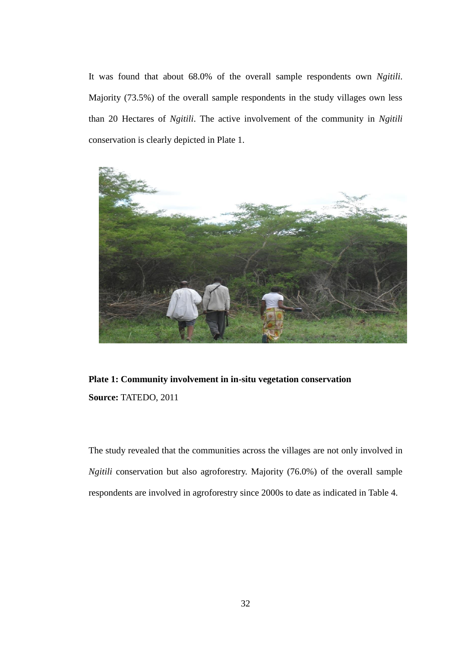It was found that about 68.0% of the overall sample respondents own *Ngitili*. Majority (73.5%) of the overall sample respondents in the study villages own less than 20 Hectares of *Ngitili*. The active involvement of the community in *Ngitili*  conservation is clearly depicted in Plate 1.



**Plate 1: Community involvement in in-situ vegetation conservation Source:** TATEDO, 2011

The study revealed that the communities across the villages are not only involved in *Ngitili* conservation but also agroforestry. Majority (76.0%) of the overall sample respondents are involved in agroforestry since 2000s to date as indicated in Table 4.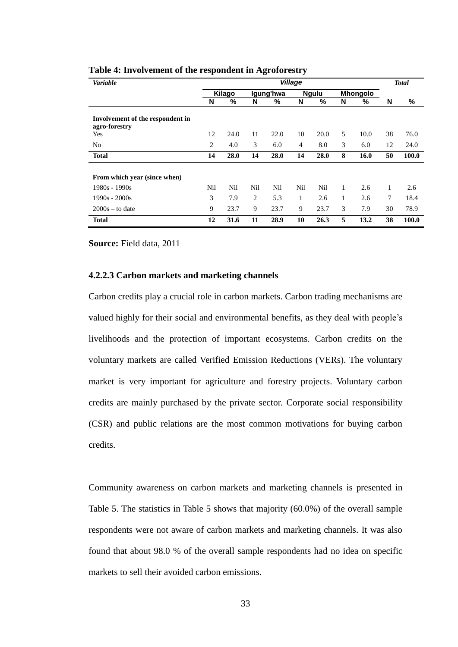|                                                   | д.             |        |     | ັ         | $\tilde{\phantom{a}}$ |              |   |                 |    |              |
|---------------------------------------------------|----------------|--------|-----|-----------|-----------------------|--------------|---|-----------------|----|--------------|
| <b>Variable</b>                                   |                |        |     |           | <b>Village</b>        |              |   |                 |    | <b>Total</b> |
|                                                   |                | Kilago |     | Igung'hwa |                       | <b>Ngulu</b> |   | <b>Mhongolo</b> |    |              |
|                                                   | N              | %      | N   | %         | N                     | %            | N | %               | N  | %            |
| Involvement of the respondent in<br>agro-forestry |                |        |     |           |                       |              |   |                 |    |              |
| Yes                                               | 12             | 24.0   | 11  | 22.0      | 10                    | 20.0         | 5 | 10.0            | 38 | 76.0         |
| N <sub>o</sub>                                    | $\overline{c}$ | 4.0    | 3   | 6.0       | $\overline{4}$        | 8.0          | 3 | 6.0             | 12 | 24.0         |
| <b>Total</b>                                      | 14             | 28.0   | 14  | 28.0      | 14                    | 28.0         | 8 | 16.0            | 50 | 100.0        |
| From which year (since when)                      |                |        |     |           |                       |              |   |                 |    |              |
| $1980s - 1990s$                                   | Nil            | Nil    | Nil | Nil       | Nil                   | Nil          | 1 | 2.6             | 1  | 2.6          |
| $1990s - 2000s$                                   | 3              | 7.9    | 2   | 5.3       | 1                     | 2.6          | 1 | 2.6             | 7  | 18.4         |
| $2000s - to date$                                 | 9              | 23.7   | 9   | 23.7      | 9                     | 23.7         | 3 | 7.9             | 30 | 78.9         |
| <b>Total</b>                                      | 12             | 31.6   | 11  | 28.9      | 10                    | 26.3         | 5 | 13.2            | 38 | 100.0        |

#### **Table 4: Involvement of the respondent in Agroforestry**

**Source:** Field data, 2011

#### **4.2.2.3 Carbon markets and marketing channels**

Carbon credits play a crucial role in carbon markets. Carbon trading mechanisms are valued highly for their social and environmental benefits, as they deal with people"s livelihoods and the protection of important ecosystems. Carbon credits on the voluntary markets are called Verified Emission Reductions (VERs). The voluntary market is very important for agriculture and forestry projects. Voluntary carbon credits are mainly purchased by the private sector. Corporate social responsibility (CSR) and public relations are the most common motivations for buying carbon credits.

Community awareness on carbon markets and marketing channels is presented in Table 5. The statistics in Table 5 shows that majority (60.0%) of the overall sample respondents were not aware of carbon markets and marketing channels. It was also found that about 98.0 % of the overall sample respondents had no idea on specific markets to sell their avoided carbon emissions.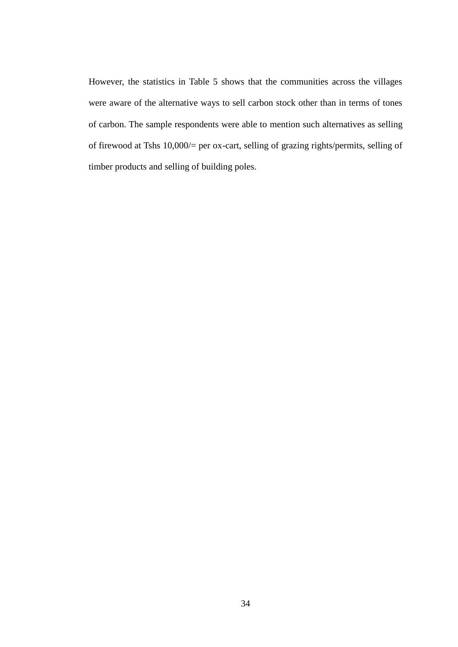However, the statistics in Table 5 shows that the communities across the villages were aware of the alternative ways to sell carbon stock other than in terms of tones of carbon. The sample respondents were able to mention such alternatives as selling of firewood at Tshs 10,000/= per ox-cart, selling of grazing rights/permits, selling of timber products and selling of building poles.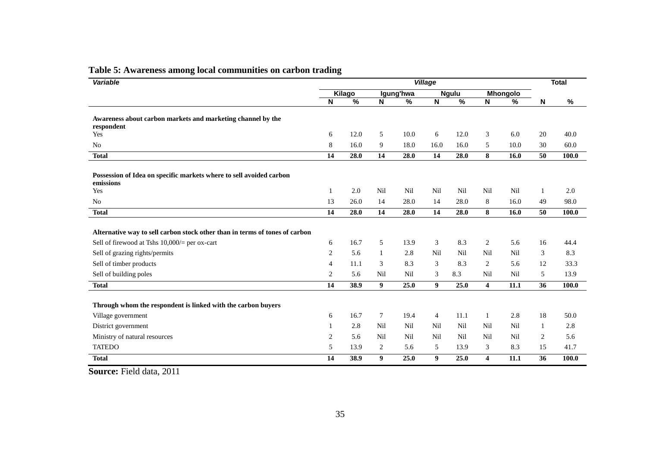| <b>Variable</b>                                                                  |                |               |                |           | <b>Village</b> |               |                         |                 |              | <b>Total</b> |
|----------------------------------------------------------------------------------|----------------|---------------|----------------|-----------|----------------|---------------|-------------------------|-----------------|--------------|--------------|
|                                                                                  |                | Kilago        |                | Igung'hwa |                | <b>Ngulu</b>  |                         | <b>Mhongolo</b> |              |              |
|                                                                                  | $\mathsf{N}$   | $\frac{9}{6}$ | N              | $\%$      | N              | $\frac{9}{6}$ | N                       | %               | N            | $\%$         |
| Awareness about carbon markets and marketing channel by the                      |                |               |                |           |                |               |                         |                 |              |              |
| respondent                                                                       |                |               |                |           |                |               |                         |                 |              |              |
| Yes                                                                              | 6              | 12.0          | 5              | 10.0      | 6              | 12.0          | 3                       | 6.0             | 20           | 40.0         |
| N <sub>o</sub>                                                                   | 8              | 16.0          | 9              | 18.0      | 16.0           | 16.0          | 5                       | 10.0            | 30           | 60.0         |
| <b>Total</b>                                                                     | 14             | 28.0          | 14             | 28.0      | 14             | 28.0          | 8                       | 16.0            | 50           | 100.0        |
| Possession of Idea on specific markets where to sell avoided carbon<br>emissions |                |               |                |           |                |               |                         |                 |              |              |
| Yes                                                                              | 1              | 2.0           | Nil            | Nil       | Nil            | Nil           | Nil                     | Nil             | $\mathbf{1}$ | 2.0          |
| N <sub>o</sub>                                                                   | 13             | 26.0          | 14             | 28.0      | 14             | 28.0          | 8                       | 16.0            | 49           | 98.0         |
| <b>Total</b>                                                                     | 14             | 28.0          | 14             | 28.0      | 14             | 28.0          | 8                       | 16.0            | 50           | 100.0        |
| Alternative way to sell carbon stock other than in terms of tones of carbon      |                |               |                |           |                |               |                         |                 |              |              |
| Sell of firewood at Tshs 10,000/= per ox-cart                                    | 6              | 16.7          | 5              | 13.9      | 3              | 8.3           | $\overline{2}$          | 5.6             | 16           | 44.4         |
| Sell of grazing rights/permits                                                   | 2              | 5.6           | $\mathbf{1}$   | 2.8       | Nil            | Nil           | Nil                     | Nil             | 3            | 8.3          |
| Sell of timber products                                                          | $\overline{4}$ | 11.1          | 3              | 8.3       | 3              | 8.3           | 2                       | 5.6             | 12           | 33.3         |
| Sell of building poles                                                           | 2              | 5.6           | Nil            | Nil       | 3              | 8.3           | Nil                     | Nil             | 5            | 13.9         |
| <b>Total</b>                                                                     | 14             | 38.9          | 9 <sup>1</sup> | 25.0      | $9^{\circ}$    | 25.0          | $\overline{\mathbf{4}}$ | 11.1            | 36           | 100.0        |
| Through whom the respondent is linked with the carbon buyers                     |                |               |                |           |                |               |                         |                 |              |              |
| Village government                                                               | 6              | 16.7          | $\tau$         | 19.4      | $\overline{4}$ | 11.1          | $\mathbf{1}$            | 2.8             | 18           | 50.0         |
| District government                                                              | 1              | 2.8           | Nil            | Nil       | Nil            | Nil           | Nil                     | Nil             | $\mathbf{1}$ | 2.8          |
| Ministry of natural resources                                                    | 2              | 5.6           | Nil            | Nil       | Nil            | Nil           | Nil                     | Nil             | 2            | 5.6          |
| <b>TATEDO</b>                                                                    | 5              | 13.9          | $\overline{2}$ | 5.6       | 5              | 13.9          | 3                       | 8.3             | 15           | 41.7         |
| <b>Total</b>                                                                     | 14             | 38.9          | 9              | 25.0      | 9              | 25.0          | $\overline{\mathbf{4}}$ | 11.1            | 36           | 100.0        |

# **Table 5: Awareness among local communities on carbon trading**

**Source:** Field data, 2011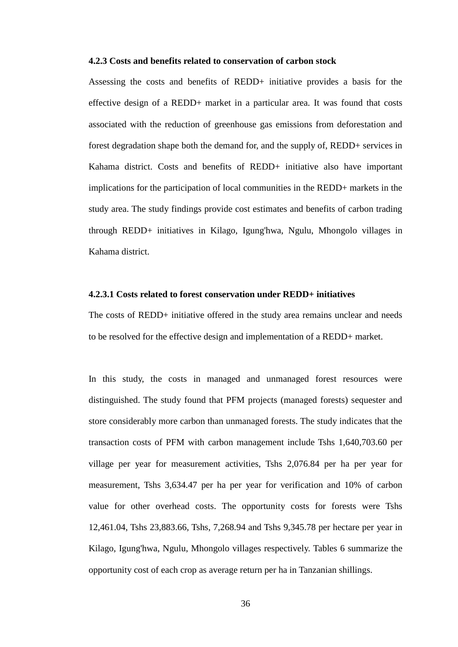#### **4.2.3 Costs and benefits related to conservation of carbon stock**

Assessing the costs and benefits of REDD+ initiative provides a basis for the effective design of a REDD+ market in a particular area. It was found that costs associated with the reduction of greenhouse gas emissions from deforestation and forest degradation shape both the demand for, and the supply of, REDD+ services in Kahama district. Costs and benefits of REDD+ initiative also have important implications for the participation of local communities in the REDD+ markets in the study area. The study findings provide cost estimates and benefits of carbon trading through REDD+ initiatives in Kilago, Igung'hwa, Ngulu, Mhongolo villages in Kahama district.

# **4.2.3.1 Costs related to forest conservation under REDD+ initiatives**

The costs of REDD+ initiative offered in the study area remains unclear and needs to be resolved for the effective design and implementation of a REDD+ market.

In this study, the costs in managed and unmanaged forest resources were distinguished. The study found that PFM projects (managed forests) sequester and store considerably more carbon than unmanaged forests. The study indicates that the transaction costs of PFM with carbon management include Tshs 1,640,703.60 per village per year for measurement activities, Tshs 2,076.84 per ha per year for measurement, Tshs 3,634.47 per ha per year for verification and 10% of carbon value for other overhead costs. The opportunity costs for forests were Tshs 12,461.04, Tshs 23,883.66, Tshs, 7,268.94 and Tshs 9,345.78 per hectare per year in Kilago, Igung'hwa, Ngulu, Mhongolo villages respectively. Tables 6 summarize the opportunity cost of each crop as average return per ha in Tanzanian shillings.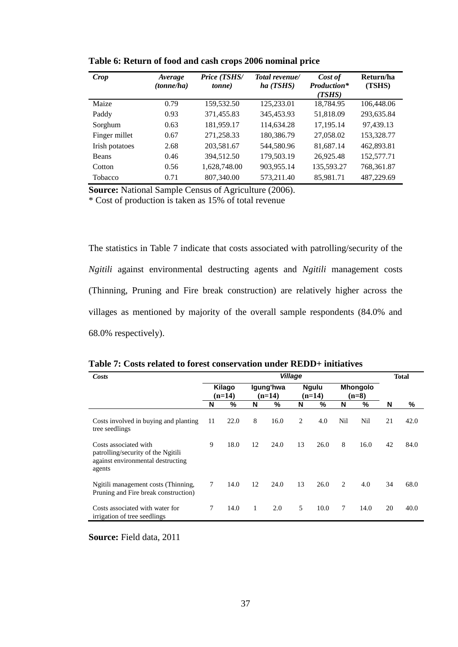| Crop           | Average<br>(tonne/ha) | Price (TSHS/<br><i>tonne</i> ) | Total revenue/<br>ha(TSHS) | Cost of<br>Production*<br>(TSHS) | Return/ha<br>(TSHS) |
|----------------|-----------------------|--------------------------------|----------------------------|----------------------------------|---------------------|
| Maize          | 0.79                  | 159,532.50                     | 125,233.01                 | 18,784.95                        | 106,448.06          |
| Paddy          | 0.93                  | 371,455.83                     | 345,453.93                 | 51,818.09                        | 293,635.84          |
| Sorghum        | 0.63                  | 181,959.17                     | 114,634.28                 | 17.195.14                        | 97,439.13           |
| Finger millet  | 0.67                  | 271,258.33                     | 180,386.79                 | 27,058.02                        | 153,328.77          |
| Irish potatoes | 2.68                  | 203,581.67                     | 544,580.96                 | 81,687.14                        | 462,893.81          |
| <b>Beans</b>   | 0.46                  | 394,512.50                     | 179,503.19                 | 26,925.48                        | 152,577.71          |
| Cotton         | 0.56                  | 1,628,748.00                   | 903,955.14                 | 135,593.27                       | 768,361.87          |
| Tobacco        | 0.71                  | 807,340.00                     | 573,211.40                 | 85,981.71                        | 487,229.69          |

**Table 6: Return of food and cash crops 2006 nominal price**

**Source:** National Sample Census of Agriculture (2006).

\* Cost of production is taken as 15% of total revenue

The statistics in Table 7 indicate that costs associated with patrolling/security of the *Ngitili* against environmental destructing agents and *Ngitili* management costs (Thinning, Pruning and Fire break construction) are relatively higher across the villages as mentioned by majority of the overall sample respondents (84.0% and 68.0% respectively).

|  |  | Table 7: Costs related to forest conservation under REDD+ initiatives |
|--|--|-----------------------------------------------------------------------|
|--|--|-----------------------------------------------------------------------|

| Costs                                                                                                      |    |                    |    | <b>Total</b>          |    |                          |     |                            |    |      |
|------------------------------------------------------------------------------------------------------------|----|--------------------|----|-----------------------|----|--------------------------|-----|----------------------------|----|------|
|                                                                                                            |    | Kilago<br>$(n=14)$ |    | Igung'hwa<br>$(n=14)$ |    | <b>Ngulu</b><br>$(n=14)$ |     | <b>Mhongolo</b><br>$(n=8)$ |    |      |
|                                                                                                            | N  | %                  | N  | %                     | N  | %                        | N   | %                          | N  | %    |
| Costs involved in buying and planting<br>tree seedlings                                                    | 11 | 22.0               | 8  | 16.0                  | 2  | 4.0                      | Nil | Nil                        | 21 | 42.0 |
| Costs associated with<br>patrolling/security of the Ngitili<br>against environmental destructing<br>agents | 9  | 18.0               | 12 | 24.0                  | 13 | 26.0                     | 8   | 16.0                       | 42 | 84.0 |
| Ngitili management costs (Thinning,<br>Pruning and Fire break construction)                                | 7  | 14.0               | 12 | 24.0                  | 13 | 26.0                     | 2   | 4.0                        | 34 | 68.0 |
| Costs associated with water for<br>irrigation of tree seedlings                                            | 7  | 14.0               | 1  | 2.0                   | 5  | 10.0                     | 7   | 14.0                       | 20 | 40.0 |

**Source:** Field data, 2011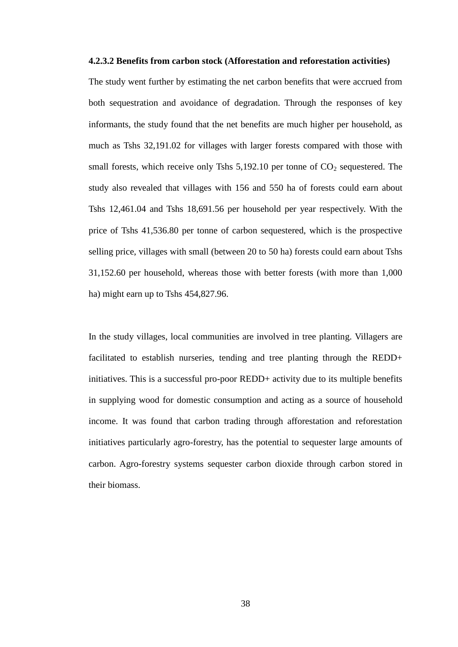#### **4.2.3.2 Benefits from carbon stock (Afforestation and reforestation activities)**

The study went further by estimating the net carbon benefits that were accrued from both sequestration and avoidance of degradation. Through the responses of key informants, the study found that the net benefits are much higher per household, as much as Tshs 32,191.02 for villages with larger forests compared with those with small forests, which receive only Tshs  $5,192.10$  per tonne of  $CO<sub>2</sub>$  sequestered. The study also revealed that villages with 156 and 550 ha of forests could earn about Tshs 12,461.04 and Tshs 18,691.56 per household per year respectively. With the price of Tshs 41,536.80 per tonne of carbon sequestered, which is the prospective selling price, villages with small (between 20 to 50 ha) forests could earn about Tshs 31,152.60 per household, whereas those with better forests (with more than 1,000 ha) might earn up to Tshs 454,827.96.

In the study villages, local communities are involved in tree planting. Villagers are facilitated to establish nurseries, tending and tree planting through the REDD+ initiatives. This is a successful pro-poor REDD+ activity due to its multiple benefits in supplying wood for domestic consumption and acting as a source of household income. It was found that carbon trading through afforestation and reforestation initiatives particularly agro-forestry, has the potential to sequester large amounts of carbon. Agro-forestry systems sequester carbon dioxide through carbon stored in their biomass.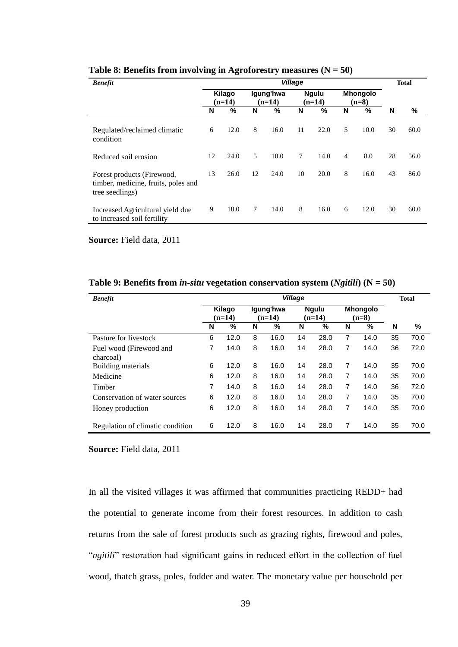|                                                                                      | o  | o                  |    | ັ                     |                |                          |                |                            |    |              |
|--------------------------------------------------------------------------------------|----|--------------------|----|-----------------------|----------------|--------------------------|----------------|----------------------------|----|--------------|
| <b>Benefit</b>                                                                       |    |                    |    |                       | <b>Village</b> |                          |                |                            |    | <b>Total</b> |
|                                                                                      |    | Kilago<br>$(n=14)$ |    | Igung'hwa<br>$(n=14)$ |                | <b>Ngulu</b><br>$(n=14)$ |                | <b>Mhongolo</b><br>$(n=8)$ |    |              |
|                                                                                      | N  | %                  | N  | %                     | N              | %                        | N              | %                          | N  | %            |
| Regulated/reclaimed climatic<br>condition                                            | 6  | 12.0               | 8  | 16.0                  | 11             | 22.0                     | 5              | 10.0                       | 30 | 60.0         |
| Reduced soil erosion                                                                 | 12 | 24.0               | 5  | 10.0                  | 7              | 14.0                     | $\overline{4}$ | 8.0                        | 28 | 56.0         |
| Forest products (Firewood,<br>timber, medicine, fruits, poles and<br>tree seedlings) | 13 | 26.0               | 12 | 24.0                  | 10             | 20.0                     | 8              | 16.0                       | 43 | 86.0         |
| Increased Agricultural yield due<br>to increased soil fertility                      | 9  | 18.0               | 7  | 14.0                  | 8              | 16.0                     | 6              | 12.0                       | 30 | 60.0         |

# Table 8: Benefits from involving in Agroforestry measures  $(N = 50)$

**Source:** Field data, 2011

| <b>Benefit</b>                       |                    | <b>Village</b> |   |                       |    |                          |                            |      |    |      |  |
|--------------------------------------|--------------------|----------------|---|-----------------------|----|--------------------------|----------------------------|------|----|------|--|
|                                      | Kilago<br>$(n=14)$ |                |   | Igung'hwa<br>$(n=14)$ |    | <b>Ngulu</b><br>$(n=14)$ | <b>Mhongolo</b><br>$(n=8)$ |      |    |      |  |
|                                      | N                  | %              | N | %                     | N  | %                        | N                          | %    | N  | %    |  |
| Pasture for livestock                | 6                  | 12.0           | 8 | 16.0                  | 14 | 28.0                     | 7                          | 14.0 | 35 | 70.0 |  |
| Fuel wood (Firewood and<br>charcoal) | 7                  | 14.0           | 8 | 16.0                  | 14 | 28.0                     | 7                          | 14.0 | 36 | 72.0 |  |
| Building materials                   | 6                  | 12.0           | 8 | 16.0                  | 14 | 28.0                     | 7                          | 14.0 | 35 | 70.0 |  |
| Medicine                             | 6                  | 12.0           | 8 | 16.0                  | 14 | 28.0                     | 7                          | 14.0 | 35 | 70.0 |  |
| Timber                               |                    | 14.0           | 8 | 16.0                  | 14 | 28.0                     | 7                          | 14.0 | 36 | 72.0 |  |

Conservation of water sources 6 12.0 8 16.0 14 28.0 7 14.0 35 70.0 Honey production 6 12.0 8 16.0 14 28.0 7 14.0 35 70.0

Regulation of climatic condition 6 12.0 8 16.0 14 28.0 7 14.0 35 70.0

|  |  | Table 9: Benefits from <i>in-situ</i> vegetation conservation system ( <i>Ngitili</i> ) ( $N = 50$ ) |  |  |
|--|--|------------------------------------------------------------------------------------------------------|--|--|
|  |  |                                                                                                      |  |  |

#### **Source:** Field data, 2011

In all the visited villages it was affirmed that communities practicing REDD+ had the potential to generate income from their forest resources. In addition to cash returns from the sale of forest products such as grazing rights, firewood and poles, "*ngitili*" restoration had significant gains in reduced effort in the collection of fuel wood, thatch grass, poles, fodder and water. The monetary value per household per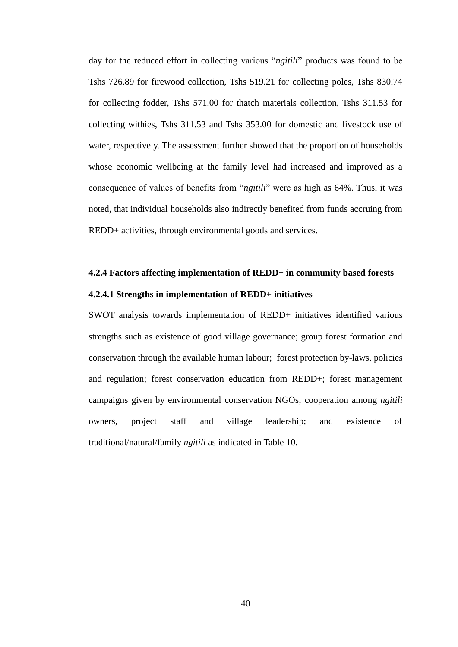day for the reduced effort in collecting various "*ngitili*" products was found to be Tshs 726.89 for firewood collection, Tshs 519.21 for collecting poles, Tshs 830.74 for collecting fodder, Tshs 571.00 for thatch materials collection, Tshs 311.53 for collecting withies, Tshs 311.53 and Tshs 353.00 for domestic and livestock use of water, respectively. The assessment further showed that the proportion of households whose economic wellbeing at the family level had increased and improved as a consequence of values of benefits from "*ngitili*" were as high as 64%. Thus, it was noted, that individual households also indirectly benefited from funds accruing from REDD+ activities, through environmental goods and services.

# **4.2.4 Factors affecting implementation of REDD+ in community based forests**

# **4.2.4.1 Strengths in implementation of REDD+ initiatives**

SWOT analysis towards implementation of REDD+ initiatives identified various strengths such as existence of good village governance; group forest formation and conservation through the available human labour; forest protection by-laws, policies and regulation; forest conservation education from REDD+; forest management campaigns given by environmental conservation NGOs; cooperation among *ngitili*  owners, project staff and village leadership; and existence of traditional/natural/family *ngitili* as indicated in Table 10.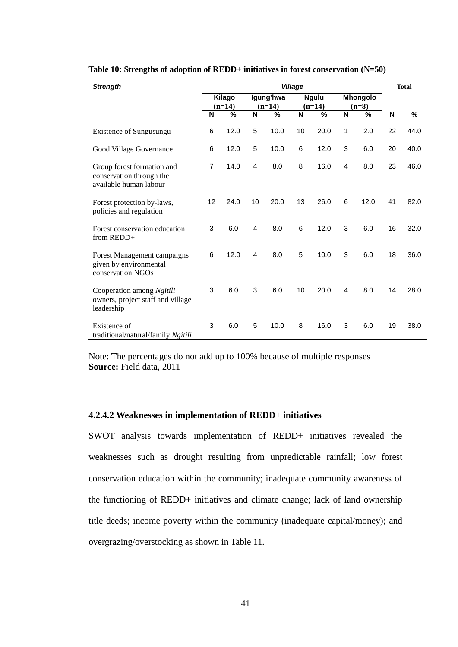| <b>Strength</b>                                                                  |                |          |                |           | <b>Village</b> |              |                |          | <b>Total</b> |      |
|----------------------------------------------------------------------------------|----------------|----------|----------------|-----------|----------------|--------------|----------------|----------|--------------|------|
|                                                                                  |                | Kilago   |                | Igung'hwa |                | <b>Ngulu</b> |                | Mhongolo |              |      |
|                                                                                  |                | $(n=14)$ |                | $(n=14)$  |                | $(n=14)$     |                | $(n=8)$  |              |      |
|                                                                                  | N              | %        | N              | %         | N              | %            | N              | %        | N            | %    |
| Existence of Sungusungu                                                          | 6              | 12.0     | 5              | 10.0      | 10             | 20.0         | 1              | 2.0      | 22           | 44.0 |
| Good Village Governance                                                          | 6              | 12.0     | 5              | 10.0      | 6              | 12.0         | 3              | 6.0      | 20           | 40.0 |
| Group forest formation and<br>conservation through the<br>available human labour | $\overline{7}$ | 14.0     | 4              | 8.0       | 8              | 16.0         | $\overline{4}$ | 8.0      | 23           | 46.0 |
| Forest protection by-laws,<br>policies and regulation                            | 12             | 24.0     | 10             | 20.0      | 13             | 26.0         | 6              | 12.0     | 41           | 82.0 |
| Forest conservation education<br>from REDD+                                      | 3              | 6.0      | $\overline{4}$ | 8.0       | 6              | 12.0         | 3              | 6.0      | 16           | 32.0 |
| Forest Management campaigns<br>given by environmental<br>conservation NGOs       | 6              | 12.0     | 4              | 8.0       | 5              | 10.0         | 3              | 6.0      | 18           | 36.0 |
| Cooperation among Ngitili<br>owners, project staff and village<br>leadership     | 3              | 6.0      | 3              | 6.0       | 10             | 20.0         | 4              | 8.0      | 14           | 28.0 |
| Existence of<br>traditional/natural/family Ngitili                               | 3              | 6.0      | 5              | 10.0      | 8              | 16.0         | 3              | 6.0      | 19           | 38.0 |

**Table 10: Strengths of adoption of REDD+ initiatives in forest conservation (N=50)**

Note: The percentages do not add up to 100% because of multiple responses **Source:** Field data, 2011

#### **4.2.4.2 Weaknesses in implementation of REDD+ initiatives**

SWOT analysis towards implementation of REDD+ initiatives revealed the weaknesses such as drought resulting from unpredictable rainfall; low forest conservation education within the community; inadequate community awareness of the functioning of REDD+ initiatives and climate change; lack of land ownership title deeds; income poverty within the community (inadequate capital/money); and overgrazing/overstocking as shown in Table 11.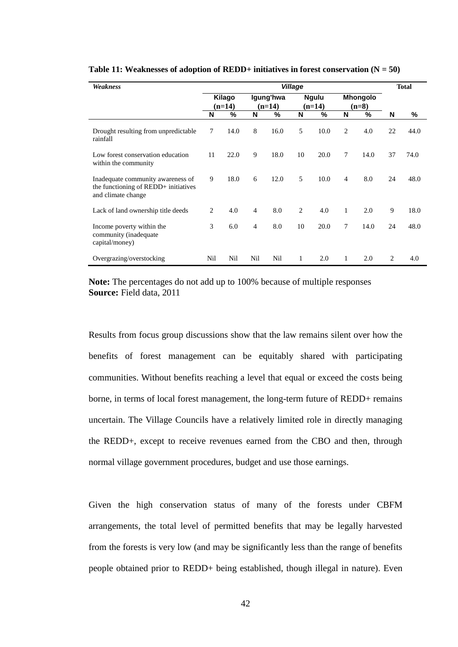| Weakness                                                                                        | <b>Village</b>     |      |                       |      |                          |      |                            |      | <b>Total</b> |      |
|-------------------------------------------------------------------------------------------------|--------------------|------|-----------------------|------|--------------------------|------|----------------------------|------|--------------|------|
|                                                                                                 | Kilago<br>$(n=14)$ |      | Igung'hwa<br>$(n=14)$ |      | <b>Ngulu</b><br>$(n=14)$ |      | <b>Mhongolo</b><br>$(n=8)$ |      |              |      |
|                                                                                                 | N                  | %    | N                     | %    | N                        | ℅    | N                          | %    | N            | %    |
| Drought resulting from unpredictable.<br>rainfall                                               | 7                  | 14.0 | 8                     | 16.0 | 5                        | 10.0 | 2                          | 4.0  | 22           | 44.0 |
| Low forest conservation education<br>within the community                                       | 11                 | 22.0 | 9                     | 18.0 | 10                       | 20.0 | $\tau$                     | 14.0 | 37           | 74.0 |
| Inadequate community awareness of<br>the functioning of REDD+ initiatives<br>and climate change | 9                  | 18.0 | 6                     | 12.0 | 5                        | 10.0 | $\overline{4}$             | 8.0  | 24           | 48.0 |
| Lack of land ownership title deeds                                                              | 2                  | 4.0  | $\overline{4}$        | 8.0  | 2                        | 4.0  | $\mathbf{1}$               | 2.0  | 9            | 18.0 |
| Income poverty within the<br>community (inadequate)<br>capital/money)                           | 3                  | 6.0  | $\overline{4}$        | 8.0  | 10                       | 20.0 | $\tau$                     | 14.0 | 24           | 48.0 |
| Overgrazing/overstocking                                                                        | Nil                | Nil  | Nil                   | Nil  | 1                        | 2.0  | 1                          | 2.0  | 2            | 4.0  |

**Table 11: Weaknesses of adoption of REDD+ initiatives in forest conservation (N = 50)**

**Note:** The percentages do not add up to 100% because of multiple responses **Source:** Field data, 2011

Results from focus group discussions show that the law remains silent over how the benefits of forest management can be equitably shared with participating communities. Without benefits reaching a level that equal or exceed the costs being borne, in terms of local forest management, the long-term future of REDD+ remains uncertain. The Village Councils have a relatively limited role in directly managing the REDD+, except to receive revenues earned from the CBO and then, through normal village government procedures, budget and use those earnings.

Given the high conservation status of many of the forests under CBFM arrangements, the total level of permitted benefits that may be legally harvested from the forests is very low (and may be significantly less than the range of benefits people obtained prior to REDD+ being established, though illegal in nature). Even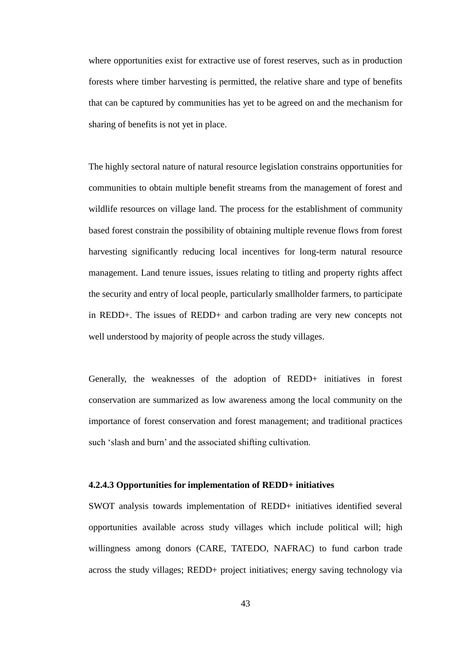where opportunities exist for extractive use of forest reserves, such as in production forests where timber harvesting is permitted, the relative share and type of benefits that can be captured by communities has yet to be agreed on and the mechanism for sharing of benefits is not yet in place.

The highly sectoral nature of natural resource legislation constrains opportunities for communities to obtain multiple benefit streams from the management of forest and wildlife resources on village land. The process for the establishment of community based forest constrain the possibility of obtaining multiple revenue flows from forest harvesting significantly reducing local incentives for long-term natural resource management. Land tenure issues, issues relating to titling and property rights affect the security and entry of local people, particularly smallholder farmers, to participate in REDD+. The issues of REDD+ and carbon trading are very new concepts not well understood by majority of people across the study villages.

Generally, the weaknesses of the adoption of REDD+ initiatives in forest conservation are summarized as low awareness among the local community on the importance of forest conservation and forest management; and traditional practices such 'slash and burn' and the associated shifting cultivation.

# **4.2.4.3 Opportunities for implementation of REDD+ initiatives**

SWOT analysis towards implementation of REDD+ initiatives identified several opportunities available across study villages which include political will; high willingness among donors (CARE, TATEDO, NAFRAC) to fund carbon trade across the study villages; REDD+ project initiatives; energy saving technology via

43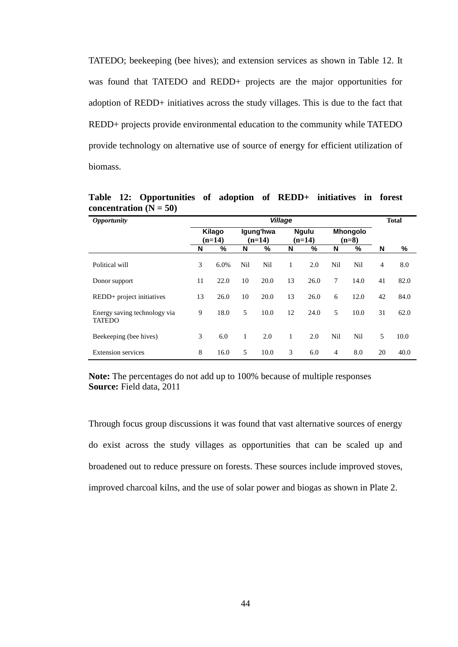TATEDO; beekeeping (bee hives); and extension services as shown in Table 12. It was found that TATEDO and REDD+ projects are the major opportunities for adoption of REDD+ initiatives across the study villages. This is due to the fact that REDD+ projects provide environmental education to the community while TATEDO provide technology on alternative use of source of energy for efficient utilization of biomass.

| <i><b>Opportunity</b></i>                     | <b>Village</b>     |      |                       |      |                          |      |                            | <b>Total</b> |    |      |
|-----------------------------------------------|--------------------|------|-----------------------|------|--------------------------|------|----------------------------|--------------|----|------|
|                                               | Kilago<br>$(n=14)$ |      | Igung'hwa<br>$(n=14)$ |      | <b>Ngulu</b><br>$(n=14)$ |      | <b>Mhongolo</b><br>$(n=8)$ |              |    |      |
|                                               | N                  | %    | N                     | %    | N                        | %    | N                          | %            | N  | %    |
| Political will                                | 3                  | 6.0% | Nil                   | Nil  | 1                        | 2.0  | Nil                        | Nil          | 4  | 8.0  |
| Donor support                                 | 11                 | 22.0 | 10                    | 20.0 | 13                       | 26.0 | 7                          | 14.0         | 41 | 82.0 |
| REDD+ project initiatives                     | 13                 | 26.0 | 10                    | 20.0 | 13                       | 26.0 | 6                          | 12.0         | 42 | 84.0 |
| Energy saving technology via<br><b>TATEDO</b> | 9                  | 18.0 | 5                     | 10.0 | 12                       | 24.0 | 5                          | 10.0         | 31 | 62.0 |
| Beekeeping (bee hives)                        | 3                  | 6.0  | 1                     | 2.0  | 1                        | 2.0  | Nil                        | Nil          | 5  | 10.0 |
| <b>Extension services</b>                     | 8                  | 16.0 | 5                     | 10.0 | 3                        | 6.0  | 4                          | 8.0          | 20 | 40.0 |

**Table 12: Opportunities of adoption of REDD+ initiatives in forest concentration**  $(N = 50)$ 

**Note:** The percentages do not add up to 100% because of multiple responses **Source:** Field data, 2011

Through focus group discussions it was found that vast alternative sources of energy do exist across the study villages as opportunities that can be scaled up and broadened out to reduce pressure on forests. These sources include improved stoves, improved charcoal kilns, and the use of solar power and biogas as shown in Plate 2.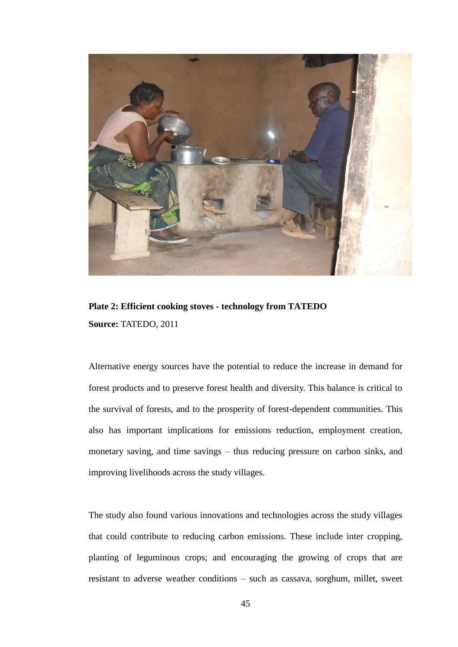

**Plate 2: Efficient cooking stoves - technology from TATEDO Source:** TATEDO, 2011

Alternative energy sources have the potential to reduce the increase in demand for forest products and to preserve forest health and diversity. This balance is critical to the survival of forests, and to the prosperity of forest-dependent communities. This also has important implications for emissions reduction, employment creation, monetary saving, and time savings – thus reducing pressure on carbon sinks, and improving livelihoods across the study villages.

The study also found various innovations and technologies across the study villages that could contribute to reducing carbon emissions. These include inter cropping, planting of leguminous crops; and encouraging the growing of crops that are resistant to adverse weather conditions – such as cassava, sorghum, millet, sweet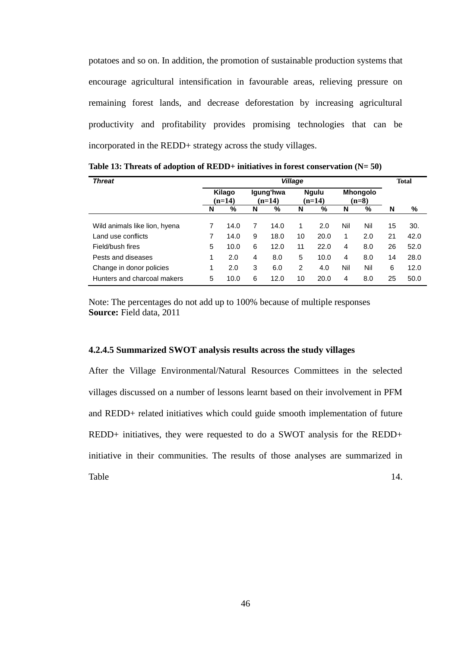potatoes and so on. In addition, the promotion of sustainable production systems that encourage agricultural intensification in favourable areas, relieving pressure on remaining forest lands, and decrease deforestation by increasing agricultural productivity and profitability provides promising technologies that can be incorporated in the REDD+ strategy across the study villages.

| <b>Threat</b>                 |   | <b>Village</b>     |   |                       |    |                          |     |                            |    | <b>Total</b> |  |
|-------------------------------|---|--------------------|---|-----------------------|----|--------------------------|-----|----------------------------|----|--------------|--|
|                               |   | Kilago<br>$(n=14)$ |   | Igung'hwa<br>$(n=14)$ |    | <b>Ngulu</b><br>$(n=14)$ |     | <b>Mhongolo</b><br>$(n=8)$ |    |              |  |
|                               | N | %                  | N | %                     | N  | %                        | N   | %                          | N  | ℅            |  |
| Wild animals like lion, hyena |   | 14.0               | 7 | 14.0                  | 1  | 2.0                      | Nil | Nil                        | 15 | 30.          |  |
| Land use conflicts            | 7 | 14.0               | 9 | 18.0                  | 10 | 20.0                     | 1   | 2.0                        | 21 | 42.0         |  |
| Field/bush fires              | 5 | 10.0               | 6 | 12.0                  | 11 | 22.0                     | 4   | 8.0                        | 26 | 52.0         |  |
| Pests and diseases            | 1 | 2.0                | 4 | 8.0                   | 5  | 10.0                     | 4   | 8.0                        | 14 | 28.0         |  |
| Change in donor policies      | 1 | 2.0                | 3 | 6.0                   | 2  | 4.0                      | Nil | Nil                        | 6  | 12.0         |  |
| Hunters and charcoal makers   | 5 | 10.0               | 6 | 12.0                  | 10 | 20.0                     | 4   | 8.0                        | 25 | 50.0         |  |

**Table 13: Threats of adoption of REDD+ initiatives in forest conservation (N= 50)**

Note: The percentages do not add up to 100% because of multiple responses **Source:** Field data, 2011

# **4.2.4.5 Summarized SWOT analysis results across the study villages**

After the Village Environmental/Natural Resources Committees in the selected villages discussed on a number of lessons learnt based on their involvement in PFM and REDD+ related initiatives which could guide smooth implementation of future REDD+ initiatives, they were requested to do a SWOT analysis for the REDD+ initiative in their communities. The results of those analyses are summarized in Table 14.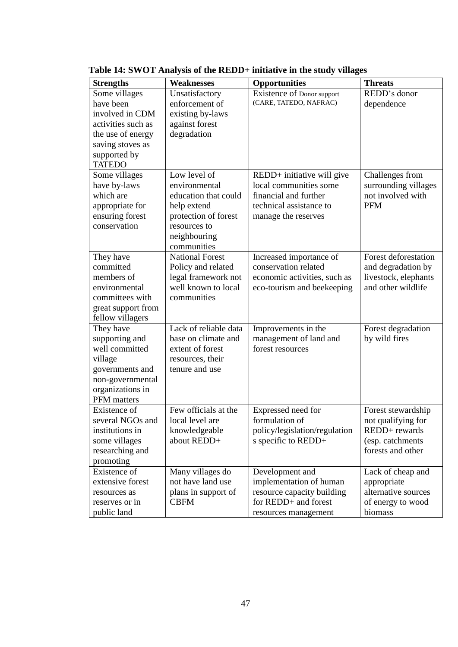| <b>Strengths</b>                                                                                                                   | <b>Weaknesses</b>                                                                                                                           | <b>Opportunities</b>                                                                                                            | <b>Threats</b>                                                                                     |
|------------------------------------------------------------------------------------------------------------------------------------|---------------------------------------------------------------------------------------------------------------------------------------------|---------------------------------------------------------------------------------------------------------------------------------|----------------------------------------------------------------------------------------------------|
| Some villages<br>have been<br>involved in CDM<br>activities such as<br>the use of energy<br>saving stoves as                       | Unsatisfactory<br>enforcement of<br>existing by-laws<br>against forest<br>degradation                                                       | Existence of Donor support<br>(CARE, TATEDO, NAFRAC)                                                                            | REDD's donor<br>dependence                                                                         |
| supported by<br><b>TATEDO</b>                                                                                                      |                                                                                                                                             |                                                                                                                                 |                                                                                                    |
| Some villages<br>have by-laws<br>which are<br>appropriate for<br>ensuring forest<br>conservation                                   | Low level of<br>environmental<br>education that could<br>help extend<br>protection of forest<br>resources to<br>neighbouring<br>communities | REDD+ initiative will give<br>local communities some<br>financial and further<br>technical assistance to<br>manage the reserves | Challenges from<br>surrounding villages<br>not involved with<br><b>PFM</b>                         |
| They have<br>committed<br>members of<br>environmental<br>committees with<br>great support from<br>fellow villagers                 | <b>National Forest</b><br>Policy and related<br>legal framework not<br>well known to local<br>communities                                   | Increased importance of<br>conservation related<br>economic activities, such as<br>eco-tourism and beekeeping                   | Forest deforestation<br>and degradation by<br>livestock, elephants<br>and other wildlife           |
| They have<br>supporting and<br>well committed<br>village<br>governments and<br>non-governmental<br>organizations in<br>PFM matters | Lack of reliable data<br>base on climate and<br>extent of forest<br>resources, their<br>tenure and use                                      | Improvements in the<br>management of land and<br>forest resources                                                               | Forest degradation<br>by wild fires                                                                |
| Existence of<br>several NGOs and<br>institutions in<br>some villages<br>researching and<br>promoting                               | Few officials at the<br>local level are<br>knowledgeable<br>about REDD+                                                                     | Expressed need for<br>formulation of<br>policy/legislation/regulation<br>s specific to REDD+                                    | Forest stewardship<br>not qualifying for<br>REDD+ rewards<br>(esp. catchments<br>forests and other |
| Existence of<br>extensive forest<br>resources as<br>reserves or in<br>public land                                                  | Many villages do<br>not have land use<br>plans in support of<br><b>CBFM</b>                                                                 | Development and<br>implementation of human<br>resource capacity building<br>for REDD+ and forest<br>resources management        | Lack of cheap and<br>appropriate<br>alternative sources<br>of energy to wood<br>biomass            |

**Table 14: SWOT Analysis of the REDD+ initiative in the study villages**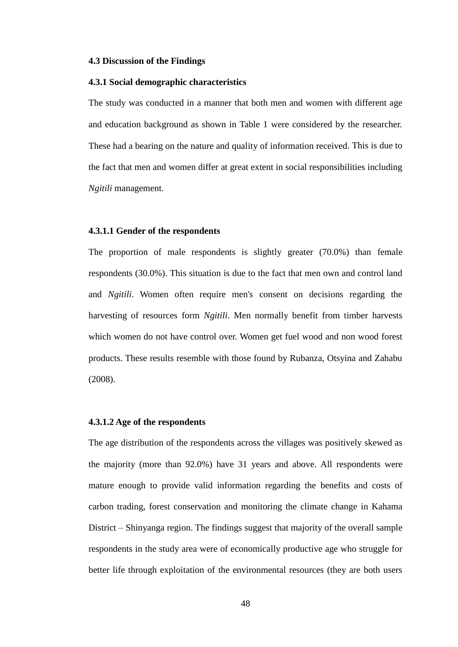#### **4.3 Discussion of the Findings**

#### **4.3.1 Social demographic characteristics**

The study was conducted in a manner that both men and women with different age and education background as shown in Table 1 were considered by the researcher. These had a bearing on the nature and quality of information received. This is due to the fact that men and women differ at great extent in social responsibilities including *Ngitili* management.

#### **4.3.1.1 Gender of the respondents**

The proportion of male respondents is slightly greater (70.0%) than female respondents (30.0%). This situation is due to the fact that men own and control land and *Ngitili*. Women often require men's consent on decisions regarding the harvesting of resources form *Ngitili*. Men normally benefit from timber harvests which women do not have control over. Women get fuel wood and non wood forest products. These results resemble with those found by Rubanza, Otsyina and Zahabu (2008).

#### **4.3.1.2 Age of the respondents**

The age distribution of the respondents across the villages was positively skewed as the majority (more than 92.0%) have 31 years and above. All respondents were mature enough to provide valid information regarding the benefits and costs of carbon trading, forest conservation and monitoring the climate change in Kahama District – Shinyanga region. The findings suggest that majority of the overall sample respondents in the study area were of economically productive age who struggle for better life through exploitation of the environmental resources (they are both users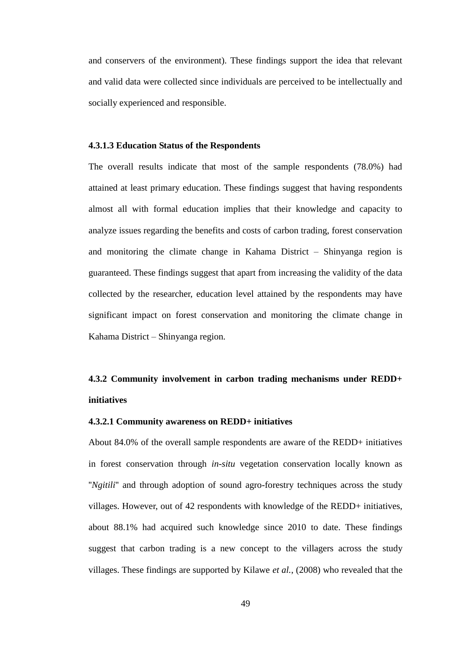and conservers of the environment). These findings support the idea that relevant and valid data were collected since individuals are perceived to be intellectually and socially experienced and responsible.

#### **4.3.1.3 Education Status of the Respondents**

The overall results indicate that most of the sample respondents (78.0%) had attained at least primary education. These findings suggest that having respondents almost all with formal education implies that their knowledge and capacity to analyze issues regarding the benefits and costs of carbon trading, forest conservation and monitoring the climate change in Kahama District – Shinyanga region is guaranteed. These findings suggest that apart from increasing the validity of the data collected by the researcher, education level attained by the respondents may have significant impact on forest conservation and monitoring the climate change in Kahama District – Shinyanga region.

# **4.3.2 Community involvement in carbon trading mechanisms under REDD+ initiatives**

#### **4.3.2.1 Community awareness on REDD+ initiatives**

About 84.0% of the overall sample respondents are aware of the REDD+ initiatives in forest conservation through *in-situ* vegetation conservation locally known as ''*Ngitili*'' and through adoption of sound agro-forestry techniques across the study villages. However, out of 42 respondents with knowledge of the REDD+ initiatives, about 88.1% had acquired such knowledge since 2010 to date. These findings suggest that carbon trading is a new concept to the villagers across the study villages. These findings are supported by Kilawe *et al.*, (2008) who revealed that the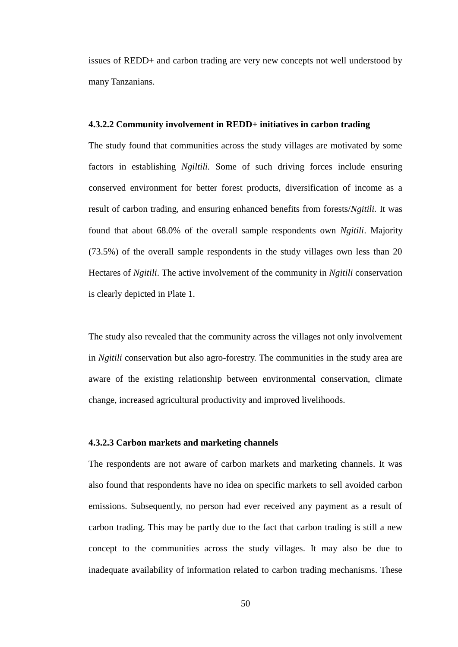issues of REDD+ and carbon trading are very new concepts not well understood by many Tanzanians.

#### **4.3.2.2 Community involvement in REDD+ initiatives in carbon trading**

The study found that communities across the study villages are motivated by some factors in establishing *Ngiltili.* Some of such driving forces include ensuring conserved environment for better forest products, diversification of income as a result of carbon trading, and ensuring enhanced benefits from forests/*Ngitili.* It was found that about 68.0% of the overall sample respondents own *Ngitili*. Majority (73.5%) of the overall sample respondents in the study villages own less than 20 Hectares of *Ngitili*. The active involvement of the community in *Ngitili* conservation is clearly depicted in Plate 1.

The study also revealed that the community across the villages not only involvement in *Ngitili* conservation but also agro-forestry. The communities in the study area are aware of the existing relationship between environmental conservation, climate change, increased agricultural productivity and improved livelihoods.

# **4.3.2.3 Carbon markets and marketing channels**

The respondents are not aware of carbon markets and marketing channels. It was also found that respondents have no idea on specific markets to sell avoided carbon emissions. Subsequently, no person had ever received any payment as a result of carbon trading. This may be partly due to the fact that carbon trading is still a new concept to the communities across the study villages. It may also be due to inadequate availability of information related to carbon trading mechanisms. These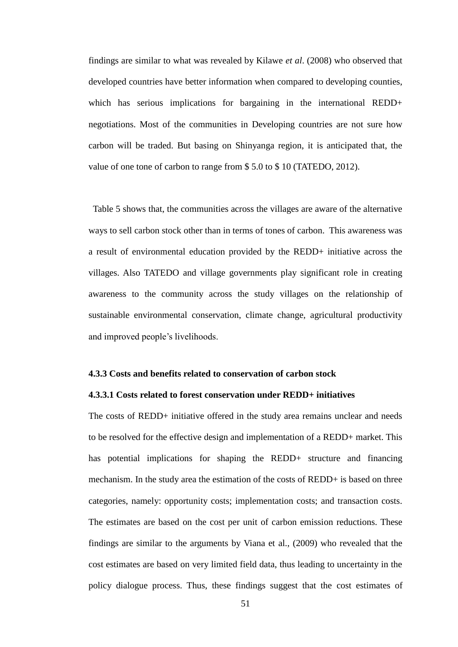findings are similar to what was revealed by Kilawe *et al*. (2008) who observed that developed countries have better information when compared to developing counties, which has serious implications for bargaining in the international REDD+ negotiations. Most of the communities in Developing countries are not sure how carbon will be traded. But basing on Shinyanga region, it is anticipated that, the value of one tone of carbon to range from \$ 5.0 to \$ 10 (TATEDO, 2012).

 Table 5 shows that, the communities across the villages are aware of the alternative ways to sell carbon stock other than in terms of tones of carbon. This awareness was a result of environmental education provided by the REDD+ initiative across the villages. Also TATEDO and village governments play significant role in creating awareness to the community across the study villages on the relationship of sustainable environmental conservation, climate change, agricultural productivity and improved people"s livelihoods.

# **4.3.3 Costs and benefits related to conservation of carbon stock**

# **4.3.3.1 Costs related to forest conservation under REDD+ initiatives**

The costs of REDD+ initiative offered in the study area remains unclear and needs to be resolved for the effective design and implementation of a REDD+ market. This has potential implications for shaping the REDD+ structure and financing mechanism. In the study area the estimation of the costs of REDD+ is based on three categories, namely: opportunity costs; implementation costs; and transaction costs. The estimates are based on the cost per unit of carbon emission reductions. These findings are similar to the arguments by Viana et al., (2009) who revealed that the cost estimates are based on very limited field data, thus leading to uncertainty in the policy dialogue process. Thus, these findings suggest that the cost estimates of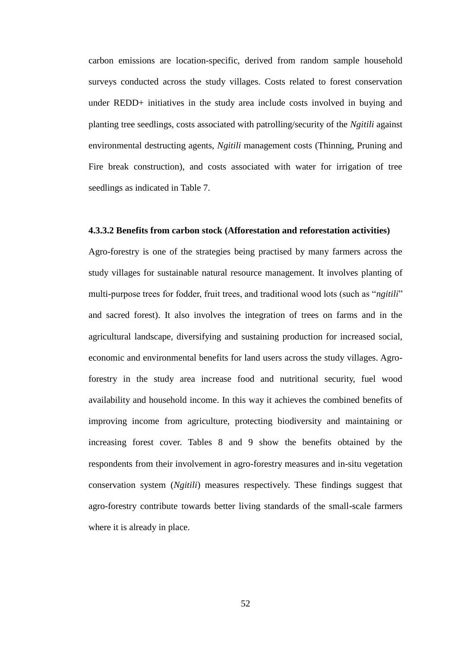carbon emissions are location-specific, derived from random sample household surveys conducted across the study villages. Costs related to forest conservation under REDD+ initiatives in the study area include costs involved in buying and planting tree seedlings, costs associated with patrolling/security of the *Ngitili* against environmental destructing agents, *Ngitili* management costs (Thinning, Pruning and Fire break construction), and costs associated with water for irrigation of tree seedlings as indicated in Table 7.

#### **4.3.3.2 Benefits from carbon stock (Afforestation and reforestation activities)**

Agro-forestry is one of the strategies being practised by many farmers across the study villages for sustainable natural resource management. It involves planting of multi-purpose trees for fodder, fruit trees, and traditional wood lots (such as "*ngitili*" and sacred forest). It also involves the integration of trees on farms and in the agricultural landscape, diversifying and sustaining production for increased social, economic and environmental benefits for land users across the study villages. Agroforestry in the study area increase food and nutritional security, fuel wood availability and household income. In this way it achieves the combined benefits of improving income from agriculture, protecting biodiversity and maintaining or increasing forest cover. Tables 8 and 9 show the benefits obtained by the respondents from their involvement in agro-forestry measures and in-situ vegetation conservation system (*Ngitili*) measures respectively. These findings suggest that agro-forestry contribute towards better living standards of the small-scale farmers where it is already in place.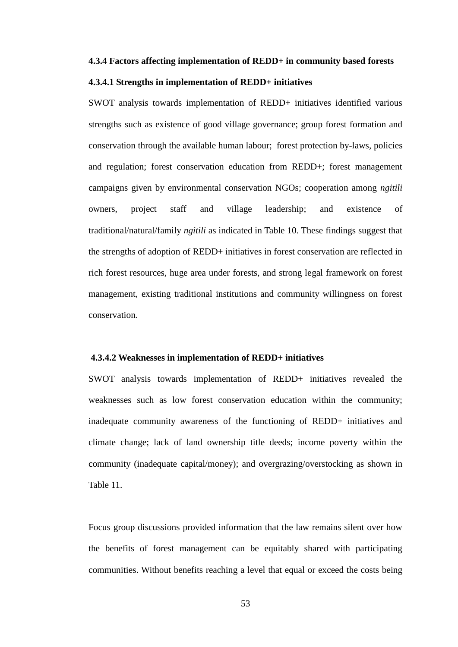#### **4.3.4 Factors affecting implementation of REDD+ in community based forests**

# **4.3.4.1 Strengths in implementation of REDD+ initiatives**

SWOT analysis towards implementation of REDD+ initiatives identified various strengths such as existence of good village governance; group forest formation and conservation through the available human labour; forest protection by-laws, policies and regulation; forest conservation education from REDD+; forest management campaigns given by environmental conservation NGOs; cooperation among *ngitili* owners, project staff and village leadership; and existence of traditional/natural/family *ngitili* as indicated in Table 10. These findings suggest that the strengths of adoption of REDD+ initiatives in forest conservation are reflected in rich forest resources, huge area under forests, and strong legal framework on forest management, existing traditional institutions and community willingness on forest conservation.

#### **4.3.4.2 Weaknesses in implementation of REDD+ initiatives**

SWOT analysis towards implementation of REDD+ initiatives revealed the weaknesses such as low forest conservation education within the community; inadequate community awareness of the functioning of REDD+ initiatives and climate change; lack of land ownership title deeds; income poverty within the community (inadequate capital/money); and overgrazing/overstocking as shown in Table 11.

Focus group discussions provided information that the law remains silent over how the benefits of forest management can be equitably shared with participating communities. Without benefits reaching a level that equal or exceed the costs being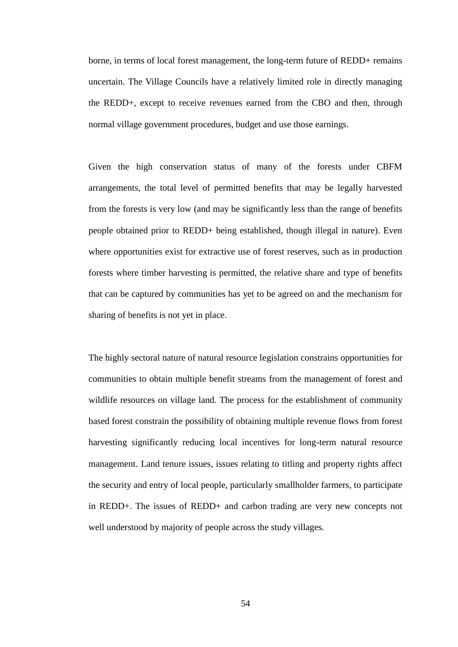borne, in terms of local forest management, the long-term future of REDD+ remains uncertain. The Village Councils have a relatively limited role in directly managing the REDD+, except to receive revenues earned from the CBO and then, through normal village government procedures, budget and use those earnings.

Given the high conservation status of many of the forests under CBFM arrangements, the total level of permitted benefits that may be legally harvested from the forests is very low (and may be significantly less than the range of benefits people obtained prior to REDD+ being established, though illegal in nature). Even where opportunities exist for extractive use of forest reserves, such as in production forests where timber harvesting is permitted, the relative share and type of benefits that can be captured by communities has yet to be agreed on and the mechanism for sharing of benefits is not yet in place.

The highly sectoral nature of natural resource legislation constrains opportunities for communities to obtain multiple benefit streams from the management of forest and wildlife resources on village land. The process for the establishment of community based forest constrain the possibility of obtaining multiple revenue flows from forest harvesting significantly reducing local incentives for long-term natural resource management. Land tenure issues, issues relating to titling and property rights affect the security and entry of local people, particularly smallholder farmers, to participate in REDD+. The issues of REDD+ and carbon trading are very new concepts not well understood by majority of people across the study villages.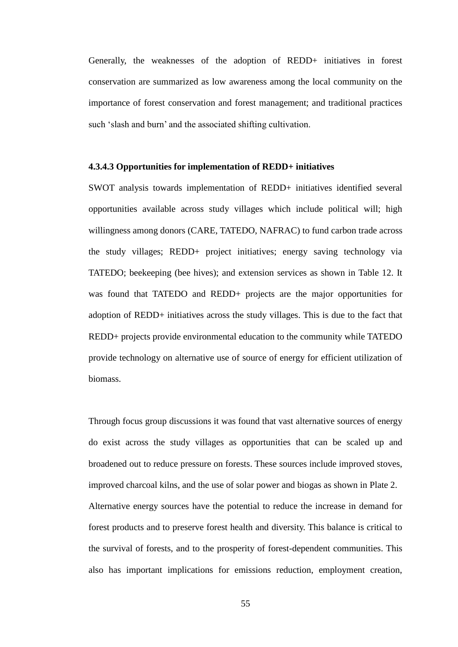Generally, the weaknesses of the adoption of REDD+ initiatives in forest conservation are summarized as low awareness among the local community on the importance of forest conservation and forest management; and traditional practices such "slash and burn" and the associated shifting cultivation.

# **4.3.4.3 Opportunities for implementation of REDD+ initiatives**

SWOT analysis towards implementation of REDD+ initiatives identified several opportunities available across study villages which include political will; high willingness among donors (CARE, TATEDO, NAFRAC) to fund carbon trade across the study villages; REDD+ project initiatives; energy saving technology via TATEDO; beekeeping (bee hives); and extension services as shown in Table 12. It was found that TATEDO and REDD+ projects are the major opportunities for adoption of REDD+ initiatives across the study villages. This is due to the fact that REDD+ projects provide environmental education to the community while TATEDO provide technology on alternative use of source of energy for efficient utilization of biomass.

Through focus group discussions it was found that vast alternative sources of energy do exist across the study villages as opportunities that can be scaled up and broadened out to reduce pressure on forests. These sources include improved stoves, improved charcoal kilns, and the use of solar power and biogas as shown in Plate 2. Alternative energy sources have the potential to reduce the increase in demand for forest products and to preserve forest health and diversity. This balance is critical to the survival of forests, and to the prosperity of forest-dependent communities. This also has important implications for emissions reduction, employment creation,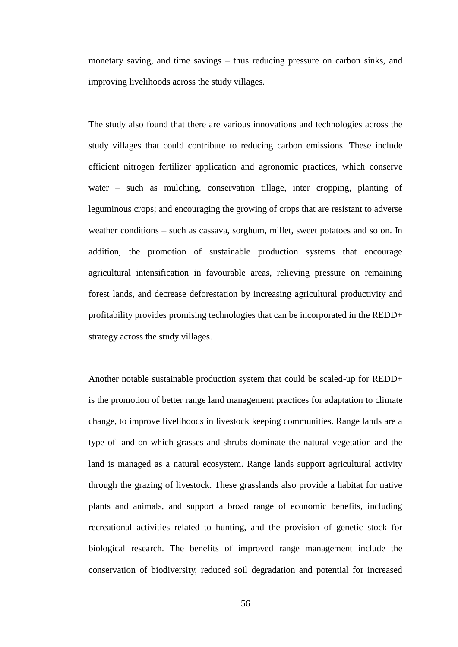monetary saving, and time savings – thus reducing pressure on carbon sinks, and improving livelihoods across the study villages.

The study also found that there are various innovations and technologies across the study villages that could contribute to reducing carbon emissions. These include efficient nitrogen fertilizer application and agronomic practices, which conserve water – such as mulching, conservation tillage, inter cropping, planting of leguminous crops; and encouraging the growing of crops that are resistant to adverse weather conditions – such as cassava, sorghum, millet, sweet potatoes and so on. In addition, the promotion of sustainable production systems that encourage agricultural intensification in favourable areas, relieving pressure on remaining forest lands, and decrease deforestation by increasing agricultural productivity and profitability provides promising technologies that can be incorporated in the REDD+ strategy across the study villages.

Another notable sustainable production system that could be scaled-up for REDD+ is the promotion of better range land management practices for adaptation to climate change, to improve livelihoods in livestock keeping communities. Range lands are a type of land on which grasses and shrubs dominate the natural vegetation and the land is managed as a natural ecosystem. Range lands support agricultural activity through the grazing of livestock. These grasslands also provide a habitat for native plants and animals, and support a broad range of economic benefits, including recreational activities related to hunting, and the provision of genetic stock for biological research. The benefits of improved range management include the conservation of biodiversity, reduced soil degradation and potential for increased

56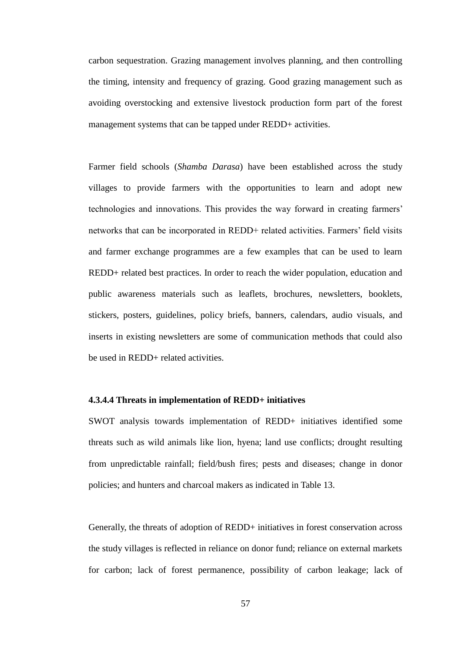carbon sequestration. Grazing management involves planning, and then controlling the timing, intensity and frequency of grazing. Good grazing management such as avoiding overstocking and extensive livestock production form part of the forest management systems that can be tapped under REDD+ activities.

Farmer field schools (*Shamba Darasa*) have been established across the study villages to provide farmers with the opportunities to learn and adopt new technologies and innovations. This provides the way forward in creating farmers" networks that can be incorporated in REDD+ related activities. Farmers' field visits and farmer exchange programmes are a few examples that can be used to learn REDD+ related best practices. In order to reach the wider population, education and public awareness materials such as leaflets, brochures, newsletters, booklets, stickers, posters, guidelines, policy briefs, banners, calendars, audio visuals, and inserts in existing newsletters are some of communication methods that could also be used in REDD+ related activities.

# **4.3.4.4 Threats in implementation of REDD+ initiatives**

SWOT analysis towards implementation of REDD+ initiatives identified some threats such as wild animals like lion, hyena; land use conflicts; drought resulting from unpredictable rainfall; field/bush fires; pests and diseases; change in donor policies; and hunters and charcoal makers as indicated in Table 13.

Generally, the threats of adoption of REDD+ initiatives in forest conservation across the study villages is reflected in reliance on donor fund; reliance on external markets for carbon; lack of forest permanence, possibility of carbon leakage; lack of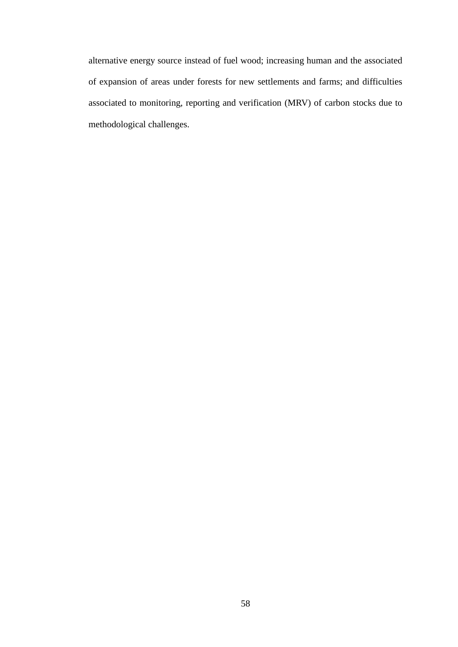alternative energy source instead of fuel wood; increasing human and the associated of expansion of areas under forests for new settlements and farms; and difficulties associated to monitoring, reporting and verification (MRV) of carbon stocks due to methodological challenges.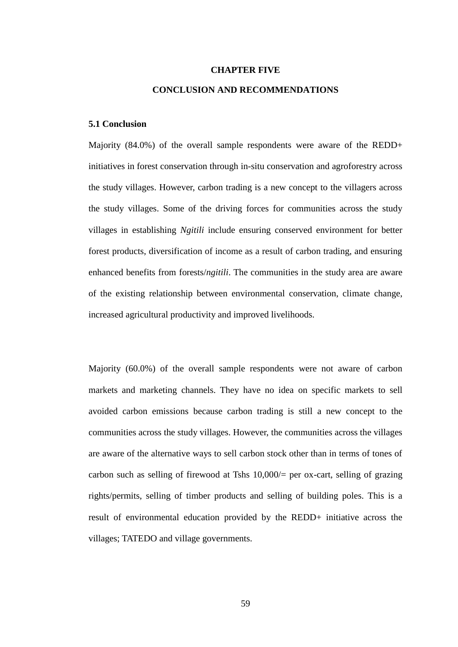#### **CHAPTER FIVE**

## **CONCLUSION AND RECOMMENDATIONS**

### **5.1 Conclusion**

Majority (84.0%) of the overall sample respondents were aware of the REDD+ initiatives in forest conservation through in-situ conservation and agroforestry across the study villages. However, carbon trading is a new concept to the villagers across the study villages. Some of the driving forces for communities across the study villages in establishing *Ngitili* include ensuring conserved environment for better forest products, diversification of income as a result of carbon trading, and ensuring enhanced benefits from forests/*ngitili*. The communities in the study area are aware of the existing relationship between environmental conservation, climate change, increased agricultural productivity and improved livelihoods.

Majority (60.0%) of the overall sample respondents were not aware of carbon markets and marketing channels. They have no idea on specific markets to sell avoided carbon emissions because carbon trading is still a new concept to the communities across the study villages. However, the communities across the villages are aware of the alternative ways to sell carbon stock other than in terms of tones of carbon such as selling of firewood at Tshs 10,000/= per ox-cart, selling of grazing rights/permits, selling of timber products and selling of building poles. This is a result of environmental education provided by the REDD+ initiative across the villages; TATEDO and village governments.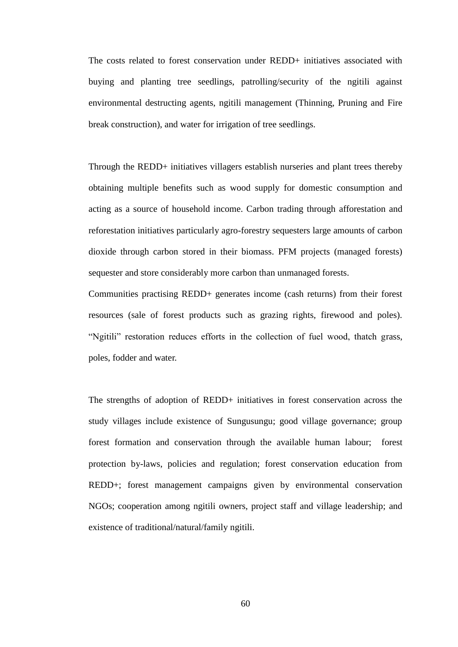The costs related to forest conservation under REDD+ initiatives associated with buying and planting tree seedlings, patrolling/security of the ngitili against environmental destructing agents, ngitili management (Thinning, Pruning and Fire break construction), and water for irrigation of tree seedlings.

Through the REDD+ initiatives villagers establish nurseries and plant trees thereby obtaining multiple benefits such as wood supply for domestic consumption and acting as a source of household income. Carbon trading through afforestation and reforestation initiatives particularly agro-forestry sequesters large amounts of carbon dioxide through carbon stored in their biomass. PFM projects (managed forests) sequester and store considerably more carbon than unmanaged forests.

Communities practising REDD+ generates income (cash returns) from their forest resources (sale of forest products such as grazing rights, firewood and poles). "Ngitili" restoration reduces efforts in the collection of fuel wood, thatch grass, poles, fodder and water.

The strengths of adoption of REDD+ initiatives in forest conservation across the study villages include existence of Sungusungu; good village governance; group forest formation and conservation through the available human labour; forest protection by-laws, policies and regulation; forest conservation education from REDD+; forest management campaigns given by environmental conservation NGOs; cooperation among ngitili owners, project staff and village leadership; and existence of traditional/natural/family ngitili.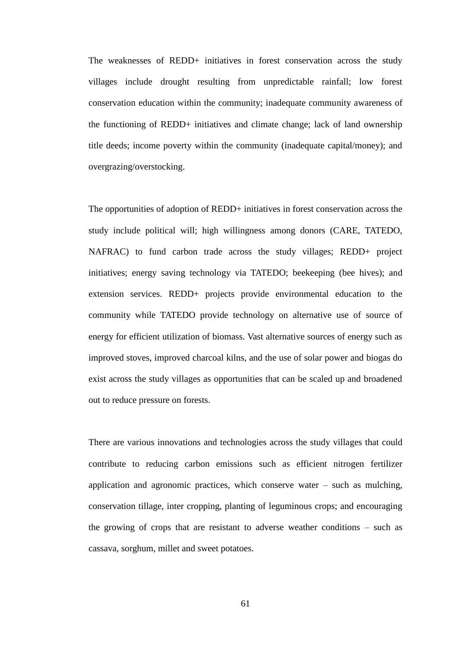The weaknesses of REDD+ initiatives in forest conservation across the study villages include drought resulting from unpredictable rainfall; low forest conservation education within the community; inadequate community awareness of the functioning of REDD+ initiatives and climate change; lack of land ownership title deeds; income poverty within the community (inadequate capital/money); and overgrazing/overstocking.

The opportunities of adoption of REDD+ initiatives in forest conservation across the study include political will; high willingness among donors (CARE, TATEDO, NAFRAC) to fund carbon trade across the study villages; REDD+ project initiatives; energy saving technology via TATEDO; beekeeping (bee hives); and extension services. REDD+ projects provide environmental education to the community while TATEDO provide technology on alternative use of source of energy for efficient utilization of biomass. Vast alternative sources of energy such as improved stoves, improved charcoal kilns, and the use of solar power and biogas do exist across the study villages as opportunities that can be scaled up and broadened out to reduce pressure on forests.

There are various innovations and technologies across the study villages that could contribute to reducing carbon emissions such as efficient nitrogen fertilizer application and agronomic practices, which conserve water – such as mulching, conservation tillage, inter cropping, planting of leguminous crops; and encouraging the growing of crops that are resistant to adverse weather conditions – such as cassava, sorghum, millet and sweet potatoes.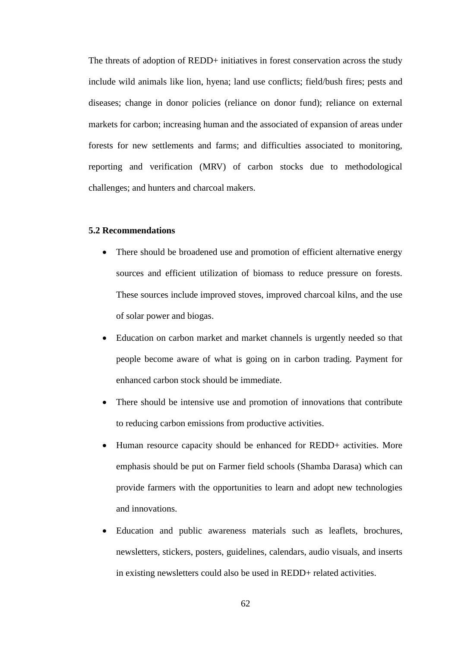The threats of adoption of REDD+ initiatives in forest conservation across the study include wild animals like lion, hyena; land use conflicts; field/bush fires; pests and diseases; change in donor policies (reliance on donor fund); reliance on external markets for carbon; increasing human and the associated of expansion of areas under forests for new settlements and farms; and difficulties associated to monitoring, reporting and verification (MRV) of carbon stocks due to methodological challenges; and hunters and charcoal makers.

### **5.2 Recommendations**

- There should be broadened use and promotion of efficient alternative energy sources and efficient utilization of biomass to reduce pressure on forests. These sources include improved stoves, improved charcoal kilns, and the use of solar power and biogas.
- Education on carbon market and market channels is urgently needed so that people become aware of what is going on in carbon trading. Payment for enhanced carbon stock should be immediate.
- There should be intensive use and promotion of innovations that contribute to reducing carbon emissions from productive activities.
- Human resource capacity should be enhanced for REDD+ activities. More emphasis should be put on Farmer field schools (Shamba Darasa) which can provide farmers with the opportunities to learn and adopt new technologies and innovations.
- Education and public awareness materials such as leaflets, brochures, newsletters, stickers, posters, guidelines, calendars, audio visuals, and inserts in existing newsletters could also be used in REDD+ related activities.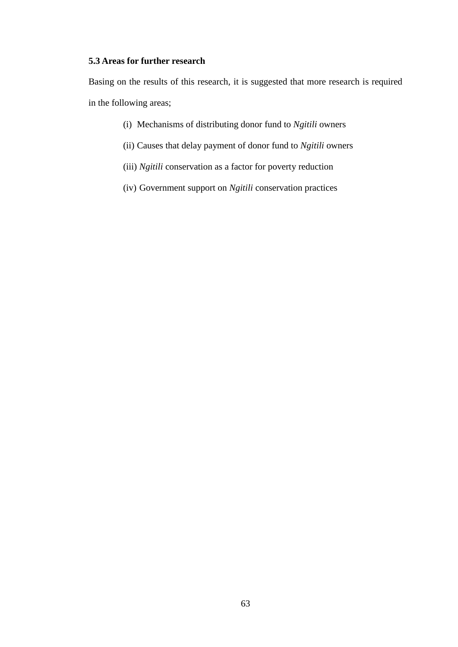## **5.3 Areas for further research**

Basing on the results of this research, it is suggested that more research is required in the following areas;

- (i) Mechanisms of distributing donor fund to *Ngitili* owners
- (ii) Causes that delay payment of donor fund to *Ngitili* owners
- (iii) *Ngitili* conservation as a factor for poverty reduction
- (iv) Government support on *Ngitili* conservation practices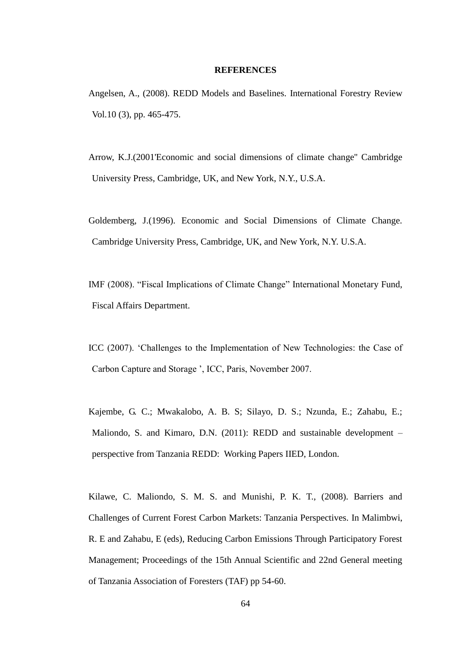#### **REFERENCES**

Angelsen, A., (2008). REDD Models and Baselines. International Forestry Review Vol.10 (3), pp. 465-475.

Arrow, K.J.(2001'Economic and social dimensions of climate change'' Cambridge University Press, Cambridge, UK, and New York, N.Y., U.S.A.

Goldemberg, J.(1996). Economic and Social Dimensions of Climate Change. Cambridge University Press, Cambridge, UK, and New York, N.Y. U.S.A.

IMF (2008). "Fiscal Implications of Climate Change" International Monetary Fund, Fiscal Affairs Department.

ICC (2007). "Challenges to the Implementation of New Technologies: the Case of Carbon Capture and Storage ", ICC, Paris, November 2007.

Kajembe, G. C.; Mwakalobo, A. B. S; Silayo, D. S.; Nzunda, E.; Zahabu, E.; Maliondo, S. and Kimaro, D.N. (2011): REDD and sustainable development – perspective from Tanzania REDD: Working Papers IIED, London.

Kilawe, C. Maliondo, S. M. S. and Munishi, P. K. T., (2008). Barriers and Challenges of Current Forest Carbon Markets: Tanzania Perspectives. In Malimbwi, R. E and Zahabu, E (eds), Reducing Carbon Emissions Through Participatory Forest Management; Proceedings of the 15th Annual Scientific and 22nd General meeting of Tanzania Association of Foresters (TAF) pp 54-60.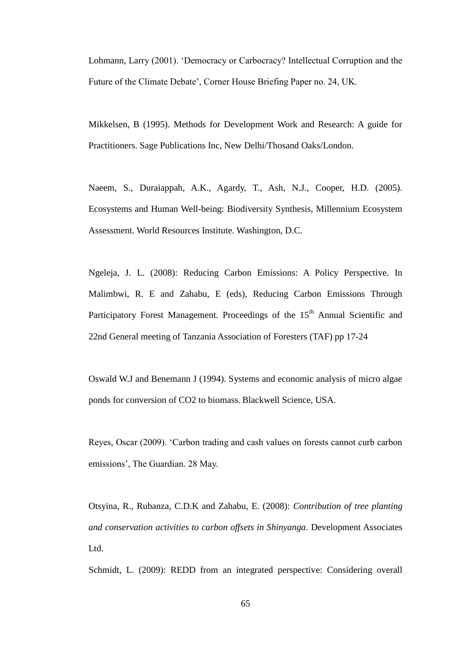Lohmann, Larry (2001). "Democracy or Carbocracy? Intellectual Corruption and the Future of the Climate Debate", Corner House Briefing Paper no. 24, UK.

Mikkelsen, B (1995). Methods for Development Work and Research: A guide for Practitioners. Sage Publications Inc, New Delhi/Thosand Oaks/London.

Naeem, S., Duraiappah, A.K., Agardy, T., Ash, N.J., Cooper, H.D. (2005). Ecosystems and Human Well-being: Biodiversity Synthesis, Millennium Ecosystem Assessment. World Resources Institute. Washington, D.C.

Ngeleja, J. L. (2008): Reducing Carbon Emissions: A Policy Perspective. In Malimbwi, R. E and Zahabu, E (eds), Reducing Carbon Emissions Through Participatory Forest Management. Proceedings of the 15<sup>th</sup> Annual Scientific and 22nd General meeting of Tanzania Association of Foresters (TAF) pp 17-24

Oswald W.J and Benemann J (1994). Systems and economic analysis of micro algae ponds for conversion of CO2 to biomass. Blackwell Science, USA.

Reyes, Oscar (2009). "Carbon trading and cash values on forests cannot curb carbon emissions", The Guardian. 28 May.

Otsyina, R., Rubanza, C.D.K and Zahabu, E. (2008): *Contribution of tree planting and conservation activities to carbon offsets in Shinyanga*. Development Associates Ltd.

Schmidt, L. (2009): REDD from an integrated perspective: Considering overall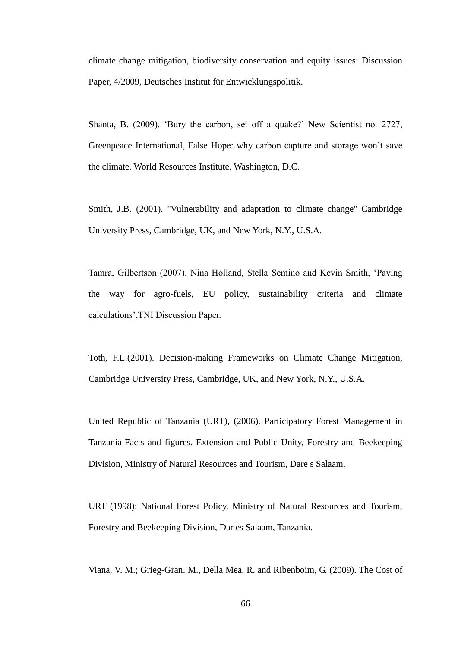climate change mitigation, biodiversity conservation and equity issues: Discussion Paper, 4/2009, Deutsches Institut für Entwicklungspolitik.

Shanta, B. (2009). "Bury the carbon, set off a quake?" New Scientist no. 2727, Greenpeace International, False Hope: why carbon capture and storage won"t save the climate. World Resources Institute. Washington, D.C.

Smith, J.B. (2001). ''Vulnerability and adaptation to climate change'' Cambridge University Press, Cambridge, UK, and New York, N.Y., U.S.A.

Tamra, Gilbertson (2007). Nina Holland, Stella Semino and Kevin Smith, "Paving the way for agro-fuels, EU policy, sustainability criteria and climate calculations",TNI Discussion Paper.

Toth, F.L.(2001). Decision-making Frameworks on Climate Change Mitigation, Cambridge University Press, Cambridge, UK, and New York, N.Y., U.S.A.

United Republic of Tanzania (URT), (2006). Participatory Forest Management in Tanzania-Facts and figures. Extension and Public Unity, Forestry and Beekeeping Division, Ministry of Natural Resources and Tourism, Dare s Salaam.

URT (1998): National Forest Policy, Ministry of Natural Resources and Tourism, Forestry and Beekeeping Division, Dar es Salaam, Tanzania.

Viana, V. M.; Grieg-Gran. M., Della Mea, R. and Ribenboim, G. (2009). The Cost of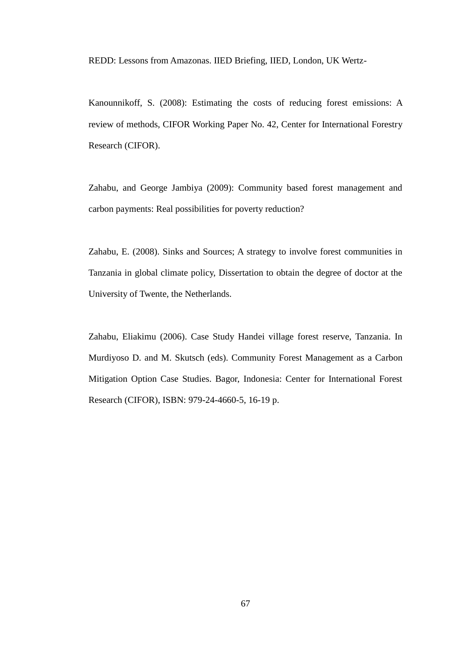REDD: Lessons from Amazonas. IIED Briefing, IIED, London, UK Wertz-

Kanounnikoff, S. (2008): Estimating the costs of reducing forest emissions: A review of methods, CIFOR Working Paper No. 42, Center for International Forestry Research (CIFOR).

Zahabu, and George Jambiya (2009): Community based forest management and carbon payments: Real possibilities for poverty reduction?

Zahabu, E. (2008). Sinks and Sources; A strategy to involve forest communities in Tanzania in global climate policy, Dissertation to obtain the degree of doctor at the University of Twente, the Netherlands.

Zahabu, Eliakimu (2006). Case Study Handei village forest reserve, Tanzania. In Murdiyoso D. and M. Skutsch (eds). Community Forest Management as a Carbon Mitigation Option Case Studies. Bagor, Indonesia: Center for International Forest Research (CIFOR), ISBN: 979-24-4660-5, 16-19 p.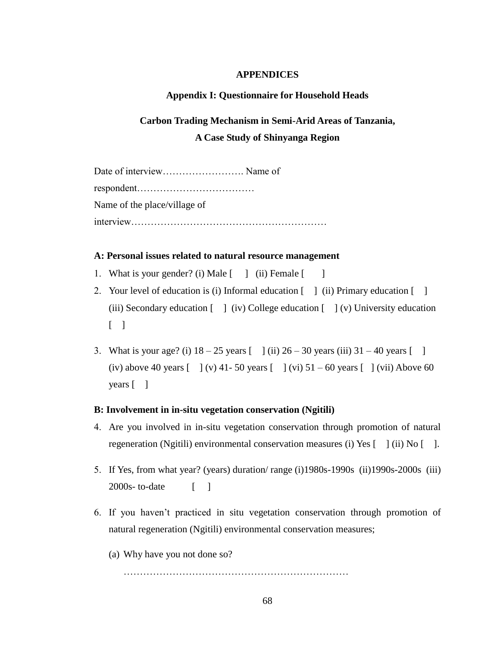### **APPENDICES**

### **Appendix I: Questionnaire for Household Heads**

# **Carbon Trading Mechanism in Semi-Arid Areas of Tanzania, A Case Study of Shinyanga Region**

| Name of the place/village of |  |
|------------------------------|--|
|                              |  |

### **A: Personal issues related to natural resource management**

- 1. What is your gender? (i) Male  $\begin{bmatrix} 1 \\ 1 \end{bmatrix}$  (ii) Female  $\begin{bmatrix} 1 \\ 1 \end{bmatrix}$
- 2. Your level of education is (i) Informal education  $\begin{bmatrix} 1 \\ 0 \end{bmatrix}$  (ii) Primary education  $\begin{bmatrix} 1 \\ 0 \end{bmatrix}$ (iii) Secondary education  $\begin{bmatrix} 1 \\ 1 \end{bmatrix}$  (iv) College education  $\begin{bmatrix} 1 \\ 1 \end{bmatrix}$  (v) University education  $\begin{bmatrix} 1 \end{bmatrix}$
- 3. What is your age? (i)  $18 25$  years  $\lceil \cdot \rceil$  (ii)  $26 30$  years (iii)  $31 40$  years  $\lceil \cdot \rceil$ (iv) above 40 years  $\lceil \ \cdot \rceil$  (v) 41-50 years  $\lceil \ \cdot \rceil$  (vi) 51 – 60 years  $\lceil \ \cdot \rceil$  (vii) Above 60 years [ ]

#### **B: Involvement in in-situ vegetation conservation (Ngitili)**

- Are you involved in in-situ vegetation conservation through promotion of natural regeneration (Ngitili) environmental conservation measures (i) Yes  $\lceil \quad \rceil$  (ii) No  $\lceil \quad \rceil$ .
- If Yes, from what year? (years) duration/ range (i)1980s-1990s (ii)1990s-2000s (iii) 2000s- to-date [ ]
- If you haven"t practiced in situ vegetation conservation through promotion of natural regeneration (Ngitili) environmental conservation measures;
	- (a) Why have you not done so?

……………………………………………………………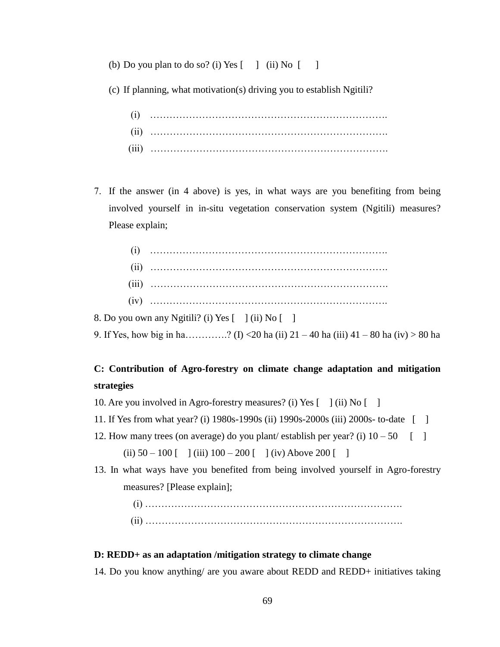(b) Do you plan to do so? (i) Yes  $\begin{bmatrix} 1 \\ 1 \end{bmatrix}$  (ii) No  $\begin{bmatrix} 1 \\ 1 \end{bmatrix}$ 

(c) If planning, what motivation(s) driving you to establish Ngitili?

 If the answer (in 4 above) is yes, in what ways are you benefiting from being involved yourself in in-situ vegetation conservation system (Ngitili) measures? Please explain;

8. Do you own any Ngitili? (i) Yes  $\lceil \ \ \rceil$  (ii) No  $\lceil \ \ \rceil$ 

9. If Yes, how big in ha…………? (I) <20 ha (ii)  $21 - 40$  ha (iii)  $41 - 80$  ha (iv) > 80 ha

# **C: Contribution of Agro-forestry on climate change adaptation and mitigation strategies**

10. Are you involved in Agro-forestry measures? (i) Yes [ ] (ii) No [ ]

11. If Yes from what year? (i) 1980s-1990s (ii) 1990s-2000s (iii) 2000s- to-date [ ]

12. How many trees (on average) do you plant/ establish per year? (i)  $10-50$  [ ]

(ii)  $50 - 100$  [ ] (iii)  $100 - 200$  [ ] (iv) Above 200 [ ]

13. In what ways have you benefited from being involved yourself in Agro-forestry measures? [Please explain];

> (i) ……………………………………………………………………. (ii) …………………………………………………………………….

### **D: REDD+ as an adaptation /mitigation strategy to climate change**

14. Do you know anything/ are you aware about REDD and REDD+ initiatives taking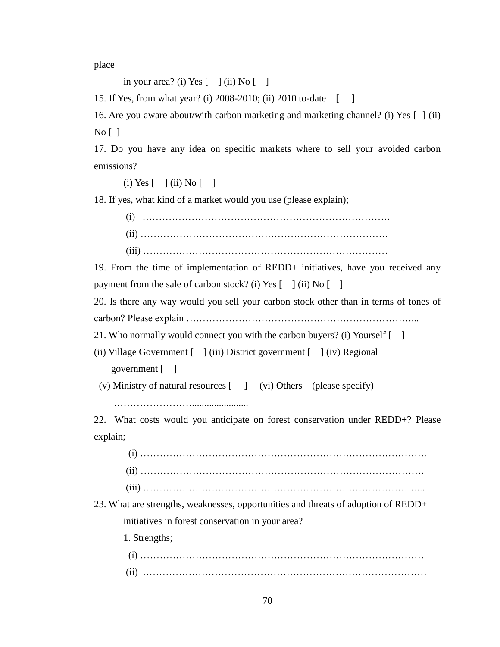place

in your area? (i) Yes  $\lceil \quad \rceil$  (ii) No  $\lceil \quad \rceil$ 

15. If Yes, from what year? (i) 2008-2010; (ii) 2010 to-date [ ]

16. Are you aware about/with carbon marketing and marketing channel? (i) Yes [ ] (ii)  $\overline{N_0}$  | |

17. Do you have any idea on specific markets where to sell your avoided carbon emissions?

 $(i)$  Yes  $\begin{bmatrix} 1 \\ 1 \end{bmatrix}$  (ii) No  $\begin{bmatrix} 1 \\ 1 \end{bmatrix}$ 

18. If yes, what kind of a market would you use (please explain);

 (i) …………………………………………………………………. (ii) …………………………………………………………………. (iii) …………………………………………………………………

19. From the time of implementation of REDD+ initiatives, have you received any payment from the sale of carbon stock? (i) Yes  $\lceil \quad \rceil$  (ii) No  $\lceil \quad \rceil$ 

20. Is there any way would you sell your carbon stock other than in terms of tones of carbon? Please explain ……………………………………………………………...

21. Who normally would connect you with the carbon buyers? (i) Yourself [ ]

(ii) Village Government [ ] (iii) District government [ ] (iv) Regional government [ ]

(v) Ministry of natural resources [ ] (vi) Others (please specify)

…………………….......................

22. What costs would you anticipate on forest conservation under REDD+? Please explain;

 (i) ……………………………………………………………………………. (ii) …………………………………………………………………………… (iii) …………………………………………………………………………...

23. What are strengths, weaknesses, opportunities and threats of adoption of REDD+

initiatives in forest conservation in your area?

1. Strengths;

 (i) …………………………………………………………………………… (ii) ……………………………………………………………………………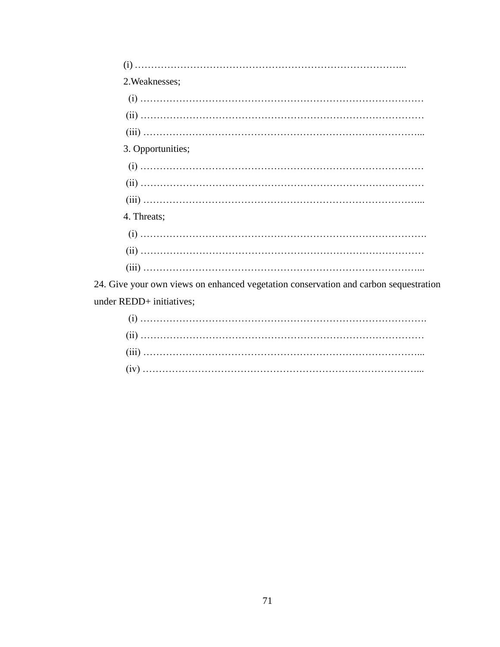| 2. Weaknesses;                                                                       |
|--------------------------------------------------------------------------------------|
|                                                                                      |
|                                                                                      |
|                                                                                      |
| 3. Opportunities;                                                                    |
|                                                                                      |
|                                                                                      |
|                                                                                      |
| 4. Threats;                                                                          |
|                                                                                      |
|                                                                                      |
|                                                                                      |
| 24. Give your own views on enhanced vegetation conservation and carbon sequestration |
| under REDD+ initiatives;                                                             |
|                                                                                      |
|                                                                                      |
|                                                                                      |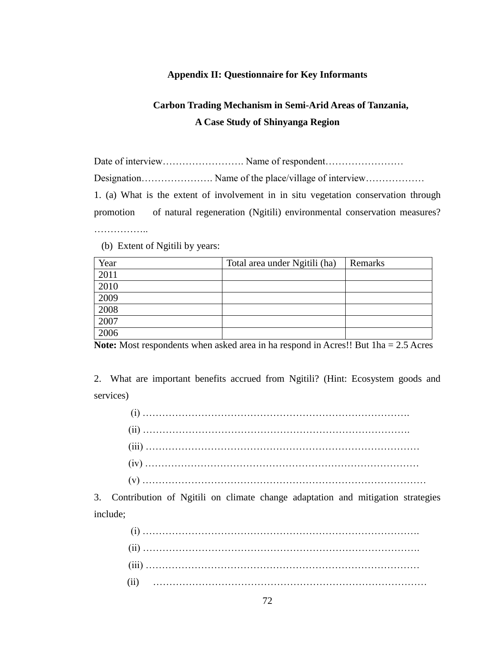## **Appendix II: Questionnaire for Key Informants**

# **Carbon Trading Mechanism in Semi-Arid Areas of Tanzania, A Case Study of Shinyanga Region**

Date of interview……………………. Name of respondent…………………… Designation…………………. Name of the place/village of interview……………… 1. (a) What is the extent of involvement in in situ vegetation conservation through promotion of natural regeneration (Ngitili) environmental conservation measures? ……………..

(b) Extent of Ngitili by years:

| Year | Total area under Ngitili (ha) | Remarks |
|------|-------------------------------|---------|
| 2011 |                               |         |
| 2010 |                               |         |
| 2009 |                               |         |
| 2008 |                               |         |
| 2007 |                               |         |
| 2006 |                               |         |

**Note:** Most respondents when asked area in ha respond in Acres!! But 1ha = 2.5 Acres

2. What are important benefits accrued from Ngitili? (Hint: Ecosystem goods and services)

3. Contribution of Ngitili on climate change adaptation and mitigation strategies include;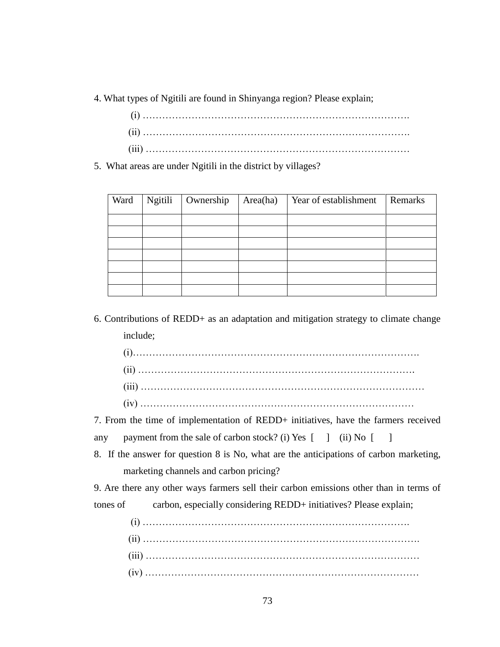4. What types of Ngitili are found in Shinyanga region? Please explain;

 (i) ………………………………………………………………………. (ii) ………………………………………………………………………. (iii) ………………………………………………………………………

5. What areas are under Ngitili in the district by villages?

| Ward | <b>Ngitili</b> | Ownership | Area(ha) | Year of establishment | Remarks |
|------|----------------|-----------|----------|-----------------------|---------|
|      |                |           |          |                       |         |
|      |                |           |          |                       |         |
|      |                |           |          |                       |         |
|      |                |           |          |                       |         |
|      |                |           |          |                       |         |
|      |                |           |          |                       |         |
|      |                |           |          |                       |         |

6. Contributions of REDD+ as an adaptation and mitigation strategy to climate change include;

7. From the time of implementation of REDD+ initiatives, have the farmers received

any payment from the sale of carbon stock? (i) Yes  $\begin{bmatrix} 1 \\ 1 \end{bmatrix}$  (ii) No  $\begin{bmatrix} 1 \\ 1 \end{bmatrix}$ 

8. If the answer for question 8 is No, what are the anticipations of carbon marketing, marketing channels and carbon pricing?

9. Are there any other ways farmers sell their carbon emissions other than in terms of tones of carbon, especially considering REDD+ initiatives? Please explain;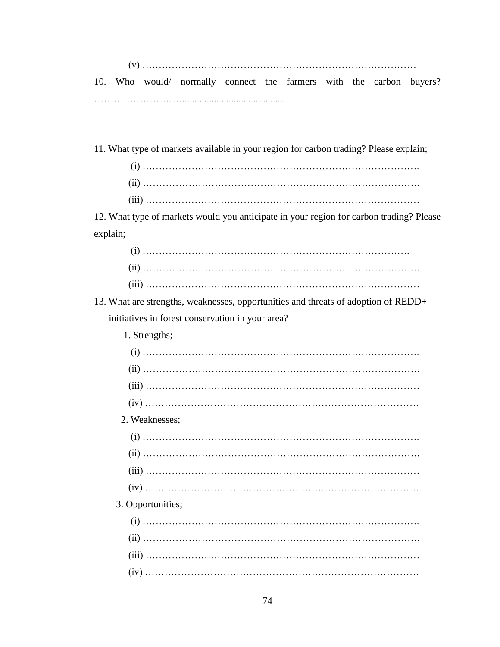(v) …………………………………………………………………………

10. Who would/ normally connect the farmers with the carbon buyers? ………………………..........................................

11. What type of markets available in your region for carbon trading? Please explain;

12. What type of markets would you anticipate in your region for carbon trading? Please explain;

13. What are strengths, weaknesses, opportunities and threats of adoption of REDD+ initiatives in forest conservation in your area?

### 1. Strengths;

| 2. Weaknesses;    |  |
|-------------------|--|
|                   |  |
|                   |  |
|                   |  |
|                   |  |
| 3. Opportunities; |  |
|                   |  |
|                   |  |

 (iii) ………………………………………………………………………… (iv) …………………………………………………………………………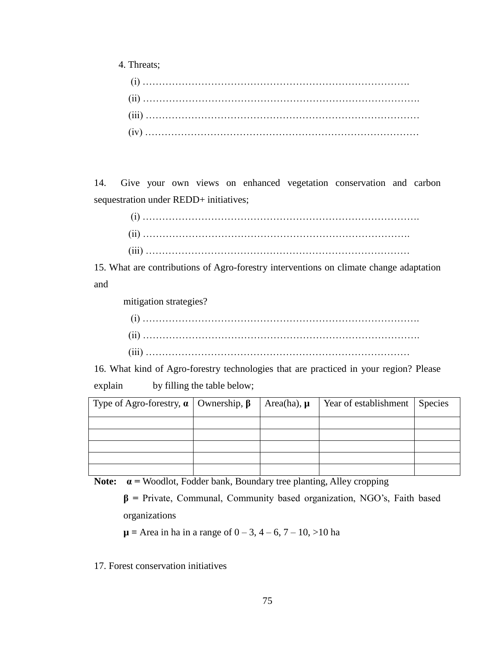4. Threats;

14. Give your own views on enhanced vegetation conservation and carbon sequestration under REDD+ initiatives;

15. What are contributions of Agro-forestry interventions on climate change adaptation and

mitigation strategies?

 (i) …………………………………………………………………………. (ii) …………………………………………………………………………. (iii) ………………………………………………………………………

16. What kind of Agro-forestry technologies that are practiced in your region? Please

explain by filling the table below;

| Type of Agro-forestry, $\alpha$   Ownership, $\beta$ | Area(ha), $\mu$ | Year of establishment   Species |  |
|------------------------------------------------------|-----------------|---------------------------------|--|
|                                                      |                 |                                 |  |
|                                                      |                 |                                 |  |
|                                                      |                 |                                 |  |
|                                                      |                 |                                 |  |
|                                                      |                 |                                 |  |

**Note:**  $\alpha$  = Woodlot, Fodder bank, Boundary tree planting, Alley cropping

 **β =** Private, Communal, Community based organization, NGO"s, Faith based organizations

 $\mu$  = Area in ha in a range of 0 – 3, 4 – 6, 7 – 10, > 10 ha

17. Forest conservation initiatives